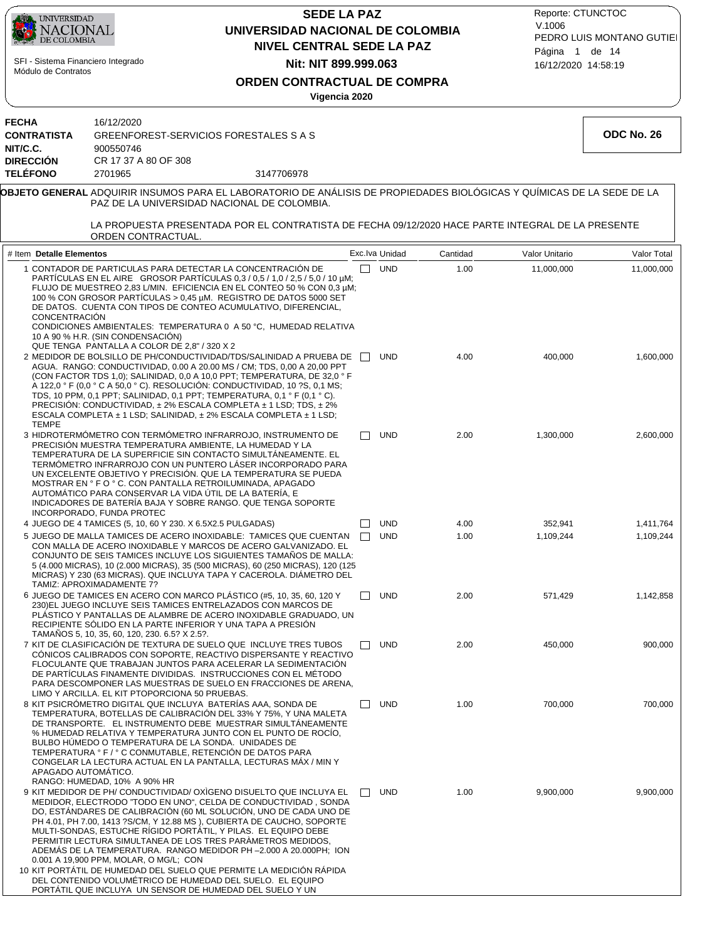|                                                                    | <b>SEDE LA PAZ</b><br><b>UNIVERSIDAD</b><br>NACIONAL<br>UNIVERSIDAD NACIONAL DE COLOMBIA<br>DE COLOMBIA<br>NIVEL CENTRAL SEDE LA PAZ<br>SFI - Sistema Financiero Integrado<br>Nit: NIT 899.999.063<br>Módulo de Contratos                                                                                                                                                                                                                                                                                                                                                                                                                                                                                                             |            |        |                              | Reporte: CTUNCTOC<br>V.1006<br>Página 1 de 14<br>16/12/2020 14:58:19 | PEDRO LUIS MONTANO GUTIEI    |                           |  |  |
|--------------------------------------------------------------------|---------------------------------------------------------------------------------------------------------------------------------------------------------------------------------------------------------------------------------------------------------------------------------------------------------------------------------------------------------------------------------------------------------------------------------------------------------------------------------------------------------------------------------------------------------------------------------------------------------------------------------------------------------------------------------------------------------------------------------------|------------|--------|------------------------------|----------------------------------------------------------------------|------------------------------|---------------------------|--|--|
|                                                                    | ORDEN CONTRACTUAL DE COMPRA<br>Vigencia 2020                                                                                                                                                                                                                                                                                                                                                                                                                                                                                                                                                                                                                                                                                          |            |        |                              |                                                                      |                              |                           |  |  |
| <b>FECHA</b><br><b>CONTRATISTA</b><br>NIT/C.C.<br><b>DIRECCIÓN</b> | 16/12/2020<br>GREENFOREST-SERVICIOS FORESTALES S A S<br>900550746<br>CR 17 37 A 80 OF 308                                                                                                                                                                                                                                                                                                                                                                                                                                                                                                                                                                                                                                             |            |        |                              |                                                                      |                              | ODC No. 26                |  |  |
| <b>TELÉFONO</b>                                                    | 2701965<br><b>OBJETO GENERAL</b> ADQUIRIR INSUMOS PARA EL LABORATORIO DE ANÁLISIS DE PROPIEDADES BIOLÓGICAS Y QUÍMICAS DE LA SEDE DE LA                                                                                                                                                                                                                                                                                                                                                                                                                                                                                                                                                                                               | 3147706978 |        |                              |                                                                      |                              |                           |  |  |
|                                                                    | PAZ DE LA UNIVERSIDAD NACIONAL DE COLOMBIA.<br>LA PROPUESTA PRESENTADA POR EL CONTRATISTA DE FECHA 09/12/2020 HACE PARTE INTEGRAL DE LA PRESENTE                                                                                                                                                                                                                                                                                                                                                                                                                                                                                                                                                                                      |            |        |                              |                                                                      |                              |                           |  |  |
|                                                                    | ORDEN CONTRACTUAL.                                                                                                                                                                                                                                                                                                                                                                                                                                                                                                                                                                                                                                                                                                                    |            |        |                              |                                                                      |                              |                           |  |  |
| # Item Detalle Elementos                                           | 1 CONTADOR DE PARTICULAS PARA DETECTAR LA CONCENTRACIÓN DE                                                                                                                                                                                                                                                                                                                                                                                                                                                                                                                                                                                                                                                                            |            | $\Box$ | Exc.lva Unidad<br><b>UND</b> | Cantidad<br>1.00                                                     | Valor Unitario<br>11,000,000 | Valor Total<br>11,000,000 |  |  |
| <b>CONCENTRACIÓN</b>                                               | PARTICULAS EN EL AIRE GROSOR PARTICULAS 0,3 / 0,5 / 1,0 / 2,5 / 5,0 / 10 µM;<br>FLUJO DE MUESTREO 2.83 L/MIN. EFICIENCIA EN EL CONTEO 50 % CON 0.3 µM:<br>100 % CON GROSOR PARTÍCULAS > 0,45 µM. REGISTRO DE DATOS 5000 SET<br>DE DATOS. CUENTA CON TIPOS DE CONTEO ACUMULATIVO, DIFERENCIAL,<br>CONDICIONES AMBIENTALES: TEMPERATURA 0 A 50 °C, HUMEDAD RELATIVA<br>10 A 90 % H.R. (SIN CONDENSACIÓN)                                                                                                                                                                                                                                                                                                                                |            |        |                              |                                                                      |                              |                           |  |  |
| <b>TEMPE</b>                                                       | QUE TENGA PANTALLA A COLOR DE 2,8" / 320 X 2<br>2 MEDIDOR DE BOLSILLO DE PH/CONDUCTIVIDAD/TDS/SALINIDAD A PRUEBA DE  <br>AGUA. RANGO: CONDUCTIVIDAD, 0.00 A 20.00 MS / CM; TDS, 0.00 A 20.00 PPT<br>(CON FACTOR TDS 1,0); SALINIDAD, 0,0 A 10,0 PPT; TEMPERATURA, DE 32,0 ° F<br>A 122,0 $\degree$ F (0,0 $\degree$ C A 50,0 $\degree$ C). RESOLUCIÓN: CONDUCTIVIDAD, 10 ?S, 0,1 MS;<br>TDS, 10 PPM, 0,1 PPT; SALINIDAD, 0,1 PPT; TEMPERATURA, 0,1 ° F (0,1 ° C).<br>PRECISIÓN: CONDUCTIVIDAD, $\pm 2\%$ ESCALA COMPLETA $\pm 1$ LSD; TDS, $\pm 2\%$<br>ESCALA COMPLETA $\pm$ 1 LSD; SALINIDAD, $\pm$ 2% ESCALA COMPLETA $\pm$ 1 LSD;                                                                                                 |            |        | <b>UND</b>                   | 4.00                                                                 | 400,000                      | 1,600,000                 |  |  |
|                                                                    | 3 HIDROTERMÓMETRO CON TERMÓMETRO INFRARROJO, INSTRUMENTO DE<br>PRECISIÓN MUESTRA TEMPERATURA AMBIENTE. LA HUMEDAD Y LA<br>TEMPERATURA DE LA SUPERFICIE SIN CONTACTO SIMULTÁNEAMENTE. EL<br>TERMÓMETRO INFRARROJO CON UN PUNTERO LÁSER INCORPORADO PARA<br>UN EXCELENTE OBJETIVO Y PRECISIÓN. QUE LA TEMPERATURA SE PUEDA<br>MOSTRAR EN º F O º C. CON PANTALLA RETROILUMINADA, APAGADO<br>AUTOMÁTICO PARA CONSERVAR LA VIDA ÚTIL DE LA BATERÍA, E<br>INDICADORES DE BATERÍA BAJA Y SOBRE RANGO. QUE TENGA SOPORTE<br>INCORPORADO, FUNDA PROTEC                                                                                                                                                                                        |            | $\Box$ | <b>UND</b>                   | 2.00                                                                 | 1,300,000                    | 2,600,000                 |  |  |
|                                                                    | 4 JUEGO DE 4 TAMICES (5, 10, 60 Y 230. X 6.5X2.5 PULGADAS)                                                                                                                                                                                                                                                                                                                                                                                                                                                                                                                                                                                                                                                                            |            |        | <b>UND</b>                   | 4.00                                                                 | 352,941                      | 1,411,764                 |  |  |
|                                                                    | 5 JUEGO DE MALLA TAMICES DE ACERO INOXIDABLE: TAMICES QUE CUENTAN<br>CON MALLA DE ACERO INOXIDABLE Y MARCOS DE ACERO GALVANIZADO. EL<br>CONJUNTO DE SEIS TAMICES INCLUYE LOS SIGUIENTES TAMAÑOS DE MALLA:<br>5 (4.000 MICRAS), 10 (2.000 MICRAS), 35 (500 MICRAS), 60 (250 MICRAS), 120 (125<br>MICRAS) Y 230 (63 MICRAS). QUE INCLUYA TAPA Y CACEROLA. DIÁMETRO DEL<br>TAMIZ: APROXIMADAMENTE 7?                                                                                                                                                                                                                                                                                                                                     |            |        | <b>UND</b>                   | 1.00                                                                 | 1,109,244                    | 1,109,244                 |  |  |
|                                                                    | 6 JUEGO DE TAMICES EN ACERO CON MARCO PLÁSTICO (#5, 10, 35, 60, 120 Y<br>230)EL JUEGO INCLUYE SEIS TAMICES ENTRELAZADOS CON MARCOS DE<br>PLÁSTICO Y PANTALLAS DE ALAMBRE DE ACERO INOXIDABLE GRADUADO, UN<br>RECIPIENTE SÓLIDO EN LA PARTE INFERIOR Y UNA TAPA A PRESIÓN<br>TAMAÑOS 5, 10, 35, 60, 120, 230. 6.5? X 2.5?.                                                                                                                                                                                                                                                                                                                                                                                                             |            |        | <b>UND</b>                   | 2.00                                                                 | 571,429                      | 1,142,858                 |  |  |
|                                                                    | 7 KIT DE CLASIFICACIÓN DE TEXTURA DE SUELO QUE INCLUYE TRES TUBOS<br>CÓNICOS CALIBRADOS CON SOPORTE, REACTIVO DISPERSANTE Y REACTIVO<br>FLOCULANTE QUE TRABAJAN JUNTOS PARA ACELERAR LA SEDIMENTACIÓN<br>DE PARTICULAS FINAMENTE DIVIDIDAS. INSTRUCCIONES CON EL MÉTODO<br>PARA DESCOMPONER LAS MUESTRAS DE SUELO EN FRACCIONES DE ARENA,<br>LIMO Y ARCILLA. EL KIT PTOPORCIONA 50 PRUEBAS.                                                                                                                                                                                                                                                                                                                                           |            |        | <b>UND</b>                   | 2.00                                                                 | 450,000                      | 900,000                   |  |  |
|                                                                    | 8 KIT PSICRÓMETRO DIGITAL QUE INCLUYA BATERÍAS AAA, SONDA DE<br>TEMPERATURA, BOTELLAS DE CALIBRACIÓN DEL 33% Y 75%, Y UNA MALETA<br>DE TRANSPORTE. EL INSTRUMENTO DEBE MUESTRAR SIMULTÁNEAMENTE<br>% HUMEDAD RELATIVA Y TEMPERATURA JUNTO CON EL PUNTO DE ROCIO,<br>BULBO HÚMEDO O TEMPERATURA DE LA SONDA. UNIDADES DE<br>TEMPERATURA ° F / ° C CONMUTABLE, RETENCION DE DATOS PARA<br>CONGELAR LA LECTURA ACTUAL EN LA PANTALLA, LECTURAS MAX / MIN Y<br>APAGADO AUTOMATICO.<br>RANGO: HUMEDAD, 10% A 90% HR                                                                                                                                                                                                                        |            | $\Box$ | <b>UND</b>                   | 1.00                                                                 | 700,000                      | 700,000                   |  |  |
|                                                                    | 9 KIT MEDIDOR DE PH/ CONDUCTIVIDAD/ OXIGENO DISUELTO QUE INCLUYA EL<br>MEDIDOR, ELECTRODO "TODO EN UNO", CELDA DE CONDUCTIVIDAD, SONDA<br>DO, ESTÁNDARES DE CALIBRACIÓN (60 ML SOLUCIÓN, UNO DE CADA UNO DE<br>PH 4.01, PH 7.00, 1413 ?S/CM, Y 12.88 MS), CUBIERTA DE CAUCHO, SOPORTE<br>MULTI-SONDAS, ESTUCHE RIGIDO PORTATIL, Y PILAS. EL EQUIPO DEBE<br>PERMITIR LECTURA SIMULTANEA DE LOS TRES PARAMETROS MEDIDOS,<br>ADEMAS DE LA TEMPERATURA. RANGO MEDIDOR PH -2.000 A 20.000PH; ION<br>0.001 A 19,900 PPM, MOLAR, O MG/L; CON<br>10 KIT PORTÁTIL DE HUMEDAD DEL SUELO QUE PERMITE LA MEDICIÓN RÁPIDA<br>DEL CONTENIDO VOLUMETRICO DE HUMEDAD DEL SUELO. EL EQUIPO<br>PORTATIL QUE INCLUYA UN SENSOR DE HUMEDAD DEL SUELO Y UN |            | П      | <b>UND</b>                   | 1.00                                                                 | 9,900,000                    | 9,900,000                 |  |  |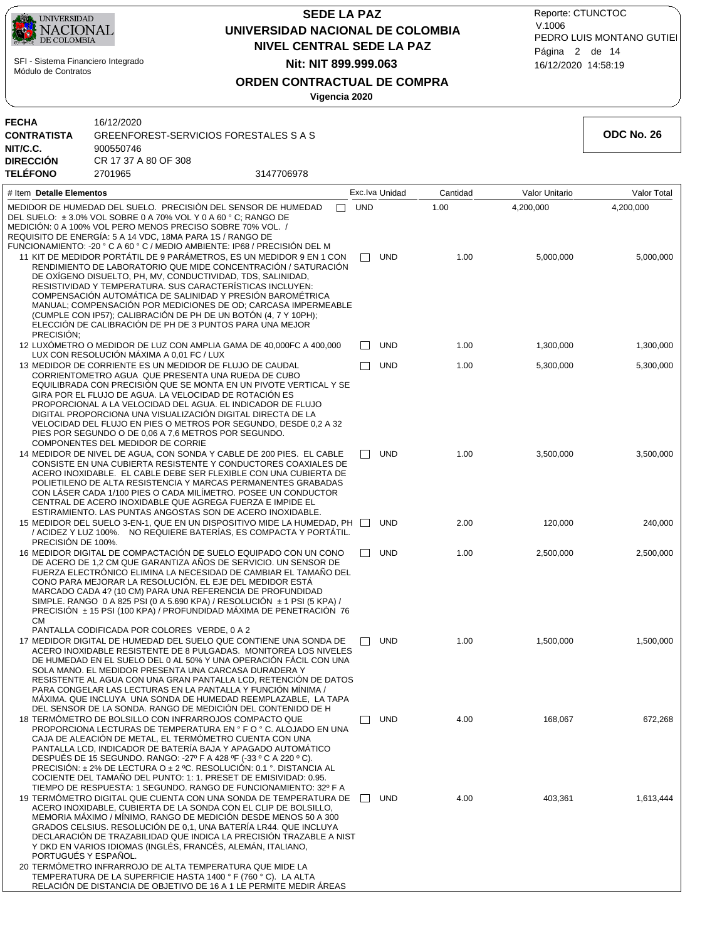

**FECHA** 16/12/2020

**NIT/C.C.** 900550746

**DIRECCIÓN** CR 17 37 A 80 OF 308

**CONTRATISTA** GREENFOREST-SERVICIOS FORESTALES S A S

# **NIVEL CENTRAL SEDE LA PAZ SEDE LA PAZ UNIVERSIDAD NACIONAL DE COLOMBIA Nit: NIT 899.999.063**

16/12/2020 14:58:19 PEDRO LUIS MONTANO GUTIEI Reporte: CTUNCTOC V.1006 Página 2 de 14

**ODC No. 26**

4,200,000

5,000,000

Valor Total

 1,300,000 5,300,000

3,500,000

240,000

2,500,000

1,500,000

672,268

1,613,444

# **ORDEN CONTRACTUAL DE COMPRA**

**Vigencia 2020**

| <b>TELEFONO</b>          | 2701965                                                   | 3147706978                                                                                                                                                                                                                                                                                                                                                                                                                                                                                                                                                                                                                                                                                                                                                                                                      |                      |                |              |                        |
|--------------------------|-----------------------------------------------------------|-----------------------------------------------------------------------------------------------------------------------------------------------------------------------------------------------------------------------------------------------------------------------------------------------------------------------------------------------------------------------------------------------------------------------------------------------------------------------------------------------------------------------------------------------------------------------------------------------------------------------------------------------------------------------------------------------------------------------------------------------------------------------------------------------------------------|----------------------|----------------|--------------|------------------------|
| # Item Detalle Elementos |                                                           |                                                                                                                                                                                                                                                                                                                                                                                                                                                                                                                                                                                                                                                                                                                                                                                                                 |                      | Exc.Iva Unidad | Cantidad     | <b>Valor Unitario</b>  |
| PRECISIÓN;               | REQUISITO DE ENERGÍA: 5 A 14 VDC, 18MA PARA 1S / RANGO DE | MEDIDOR DE HUMEDAD DEL SUELO. PRECISIÓN DEL SENSOR DE HUMEDAD<br>DEL SUELO: ± 3.0% VOL SOBRE 0 A 70% VOL Y 0 A 60 ° C; RANGO DE<br>MEDICIÓN: 0 A 100% VOL PERO MENOS PRECISO SOBRE 70% VOL. /<br>FUNCIONAMIENTO: -20 ° C A 60 ° C / MEDIO AMBIENTE: IP68 / PRECISION DEL M<br>11 KIT DE MEDIDOR PORTÁTIL DE 9 PARÁMETROS, ES UN MEDIDOR 9 EN 1 CON<br>RENDIMIENTO DE LABORATORIO QUE MIDE CONCENTRACIÓN / SATURACIÓN<br>DE OXÍGENO DISUELTO, PH, MV, CONDUCTIVIDAD, TDS, SALINIDAD,<br>RESISTIVIDAD Y TEMPERATURA. SUS CARACTERÍSTICAS INCLUYEN:<br>COMPENSACIÓN AUTOMÁTICA DE SALINIDAD Y PRESIÓN BAROMÉTRICA<br>MANUAL; COMPENSACIÓN POR MEDICIONES DE OD; CARCASA IMPERMEABLE<br>(CUMPLE CON IP57); CALIBRACIÓN DE PH DE UN BOTÓN (4, 7 Y 10PH);<br>ELECCION DE CALIBRACION DE PH DE 3 PUNTOS PARA UNA MEJOR | <b>UND</b><br>$\Box$ | <b>UND</b>     | 1.00<br>1.00 | 4,200,000<br>5,000,000 |
|                          | LUX CON RESOLUCIÓN MÁXIMA A 0,01 FC / LUX                 | 12 LUXÓMETRO O MEDIDOR DE LUZ CON AMPLIA GAMA DE 40,000FC A 400,000                                                                                                                                                                                                                                                                                                                                                                                                                                                                                                                                                                                                                                                                                                                                             |                      | <b>UND</b>     | 1.00         | 1,300,000              |
|                          | COMPONENTES DEL MEDIDOR DE CORRIE                         | 13 MEDIDOR DE CORRIENTE ES UN MEDIDOR DE FLUJO DE CAUDAL<br>CORRIENTOMETRO AGUA QUE PRESENTA UNA RUEDA DE CUBO<br>EQUILIBRADA CON PRECISION QUE SE MONTA EN UN PIVOTE VERTICAL Y SE<br>GIRA POR EL FLUJO DE AGUA. LA VELOCIDAD DE ROTACIÓN ES<br>PROPORCIONAL A LA VELOCIDAD DEL AGUA. EL INDICADOR DE FLUJO<br>DIGITAL PROPORCIONA UNA VISUALIZACIÓN DIGITAL DIRECTA DE LA<br>VELOCIDAD DEL FLUJO EN PIES O METROS POR SEGUNDO, DESDE 0,2 A 32<br>PIES POR SEGUNDO O DE 0.06 A 7.6 METROS POR SEGUNDO.                                                                                                                                                                                                                                                                                                         |                      | <b>UND</b>     | 1.00         | 5,300,000              |
|                          |                                                           | 14 MEDIDOR DE NIVEL DE AGUA, CON SONDA Y CABLE DE 200 PIES. EL CABLE<br>CONSISTE EN UNA CUBIERTA RESISTENTE Y CONDUCTORES COAXIALES DE<br>ACERO INOXIDABLE. EL CABLE DEBE SER FLEXIBLE CON UNA CUBIERTA DE<br>POLIETILENO DE ALTA RESISTENCIA Y MARCAS PERMANENTES GRABADAS<br>CON LÁSER CADA 1/100 PIES O CADA MILÍMETRO. POSEE UN CONDUCTOR<br>CENTRAL DE ACERO INOXIDABLE QUE AGREGA FUERZA E IMPIDE EL<br>ESTIRAMIENTO. LAS PUNTAS ANGOSTAS SON DE ACERO INOXIDABLE.                                                                                                                                                                                                                                                                                                                                        | $\Box$               | <b>UND</b>     | 1.00         | 3,500,000              |
| PRECISIÓN DE 100%.       |                                                           | 15 MEDIDOR DEL SUELO 3-EN-1, QUE EN UN DISPOSITIVO MIDE LA HUMEDAD, PH<br>/ ACIDEZ Y LUZ 100%. NO REQUIERE BATERÍAS, ES COMPACTA Y PORTÁTIL.                                                                                                                                                                                                                                                                                                                                                                                                                                                                                                                                                                                                                                                                    |                      | <b>UND</b>     | 2.00         | 120,000                |
| CМ                       |                                                           | 16 MEDIDOR DIGITAL DE COMPACTACIÓN DE SUELO EQUIPADO CON UN CONO<br>DE ACERO DE 1,2 CM QUE GARANTIZA AÑOS DE SERVICIO. UN SENSOR DE<br>FUERZA ELECTRÓNICO ELIMINA LA NECESIDAD DE CAMBIAR EL TAMAÑO DEL<br>CONO PARA MEJORAR LA RESOLUCIÓN. EL EJE DEL MEDIDOR ESTÁ<br>MARCADO CADA 4? (10 CM) PARA UNA REFERENCIA DE PROFUNDIDAD<br>SIMPLE. RANGO 0 A 825 PSI (0 A 5.690 KPA) / RESOLUCION $\pm$ 1 PSI (5 KPA) /<br>PRECISIÓN ± 15 PSI (100 KPA) / PROFUNDIDAD MÁXIMA DE PENETRACIÓN 76                                                                                                                                                                                                                                                                                                                        |                      | <b>UND</b>     | 1.00         | 2,500,000              |
|                          | PANTALLA CODIFICADA POR COLORES VERDE, 0 A 2              | 17 MEDIDOR DIGITAL DE HUMEDAD DEL SUELO QUE CONTIENE UNA SONDA DE<br>ACERO INOXIDABLE RESISTENTE DE 8 PULGADAS. MONITOREA LOS NIVELES<br>DE HUMEDAD EN EL SUELO DEL 0 AL 50% Y UNA OPERACIÓN FÁCIL CON UNA<br>SOLA MANO. EL MEDIDOR PRESENTA UNA CARCASA DURADERA Y<br>RESISTENTE AL AGUA CON UNA GRAN PANTALLA LCD, RETENCION DE DATOS<br>PARA CONGELAR LAS LECTURAS EN LA PANTALLA Y FUNCIÓN MÍNIMA /<br>MÁXIMA. QUE INCLUYA UNA SONDA DE HUMEDAD REEMPLAZABLE, LA TAPA<br>DEL SENSOR DE LA SONDA. RANGO DE MEDICIÓN DEL CONTENIDO DE H                                                                                                                                                                                                                                                                       |                      | <b>UND</b>     | 1.00         | 1,500,000              |
|                          |                                                           | 18 TERMÓMETRO DE BOLSILLO CON INFRARROJOS COMPACTO QUE<br>PROPORCIONA LECTURAS DE TEMPERATURA EN ° F O ° C. ALOJADO EN UNA<br>CAJA DE ALEACIÓN DE METAL, EL TERMÓMETRO CUENTA CON UNA<br>PANTALLA LCD, INDICADOR DE BATERÍA BAJA Y APAGADO AUTOMATICO<br>DESPUÉS DE 15 SEGUNDO. RANGO: -27º F A 428 ºF (-33 º C A 220 º C).<br>PRECISIÓN: ± 2% DE LECTURA O ± 2 °C. RESOLUCIÓN: 0.1 °. DISTANCIA AL<br>COCIENTE DEL TAMANO DEL PUNTO: 1: 1. PRESET DE EMISIVIDAD: 0.95.<br>TIEMPO DE RESPUESTA: 1 SEGUNDO. RANGO DE FUNCIONAMIENTO: 32º F A                                                                                                                                                                                                                                                                     |                      | <b>UND</b>     | 4.00         | 168.067                |
|                          | PORTUGUÉS Y ESPAÑOL.                                      | 19 TERMÓMETRO DIGITAL QUE CUENTA CON UNA SONDA DE TEMPERATURA DE<br>ACERO INOXIDABLE, CUBIERTA DE LA SONDA CON EL CLIP DE BOLSILLO,<br>MEMORIA MÁXIMO / MÍNIMO, RANGO DE MEDICIÓN DESDE MENOS 50 A 300<br>GRADOS CELSIUS. RESOLUCIÓN DE 0,1, UNA BATERÍA LR44. QUE INCLUYA<br>DECLARACIÓN DE TRAZABILIDAD QUE INDICA LA PRECISIÓN TRAZABLE A NIST<br>Y DKD EN VARIOS IDIOMAS (INGLÉS, FRANCÉS, ALEMÁN, ITALIANO,                                                                                                                                                                                                                                                                                                                                                                                                |                      | <b>UND</b>     | 4.00         | 403,361                |

TERMÓMETRO INFRARROJO DE ALTA TEMPERATURA QUE MIDE LA 20 TEMPERATURA DE LA SUPERFICIE HASTA 1400 ° F (760 ° C). LA ALTA RELACIÓN DE DISTANCIA DE OBJETIVO DE 16 A 1 LE PERMITE MEDIR ÁREAS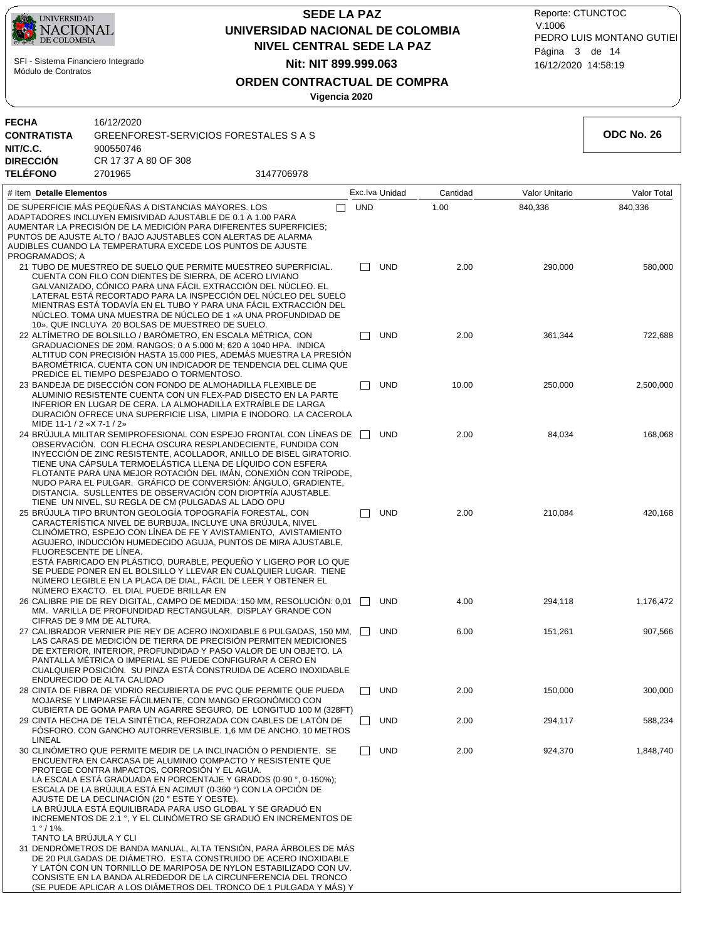

 SFI - Sistema Financiero Integrado Módulo de Contratos

# **NIVEL CENTRAL SEDE LA PAZ SEDE LA PAZ UNIVERSIDAD NACIONAL DE COLOMBIA Nit: NIT 899.999.063**

16/12/2020 14:58:19 PEDRO LUIS MONTANO GUTIEI Reporte: CTUNCTOC V.1006 Página 3 de 14

**ODC No. 26**

## **ORDEN CONTRACTUAL DE COMPRA**

**Vigencia 2020**

| # Item Detalle Elementos                              |                      |            |  |  |  |
|-------------------------------------------------------|----------------------|------------|--|--|--|
| <b>TELÉFONO</b>                                       | 2701965              | 3147706978 |  |  |  |
| DIRECCIÓN                                             | CR 17 37 A 80 OF 308 |            |  |  |  |
| NIT/C.C.                                              | 900550746            |            |  |  |  |
| GREENFOREST-SERVICIOS FORESTALES S A S<br>CONTRATISTA |                      |            |  |  |  |
| FECHA                                                 | 16/12/2020           |            |  |  |  |
|                                                       |                      |            |  |  |  |

| # Item Detalle Elementos                                                                                                                                                                                                                                                                                                                                                                                                                                                                                                                                                                                                                                                                           |                       |              | Exc.Iva Unidad | Cantidad | Valor Unitario | Valor Total |
|----------------------------------------------------------------------------------------------------------------------------------------------------------------------------------------------------------------------------------------------------------------------------------------------------------------------------------------------------------------------------------------------------------------------------------------------------------------------------------------------------------------------------------------------------------------------------------------------------------------------------------------------------------------------------------------------------|-----------------------|--------------|----------------|----------|----------------|-------------|
| DE SUPERFICIE MÁS PEQUEÑAS A DISTANCIAS MAYORES. LOS<br>ADAPTADORES INCLUYEN EMISIVIDAD AJUSTABLE DE 0.1 A 1.00 PARA<br>AUMENTAR LA PRECISION DE LA MEDICION PARA DIFERENTES SUPERFICIES;<br>PUNTOS DE AJUSTE ALTO / BAJO AJUSTABLES CON ALERTAS DE ALARMA<br>AUDIBLES CUANDO LA TEMPERATURA EXCEDE LOS PUNTOS DE AJUSTE<br>PROGRAMADOS; A                                                                                                                                                                                                                                                                                                                                                         | <b>UND</b><br>$\perp$ |              |                | 1.00     | 840,336        | 840,336     |
| 21 TUBO DE MUESTREO DE SUELO QUE PERMITE MUESTREO SUPERFICIAL.<br>CUENTA CON FILO CON DIENTES DE SIERRA, DE ACERO LIVIANO<br>GALVANIZADO, CÓNICO PARA UNA FÁCIL EXTRACCIÓN DEL NÚCLEO. EL<br>LATERAL ESTÁ RECORTADO PARA LA INSPECCIÓN DEL NÚCLEO DEL SUELO<br>MIENTRAS ESTÁ TODAVÍA EN EL TUBO Y PARA UNA FÁCIL EXTRACCIÓN DEL<br>NUCLEO. TOMA UNA MUESTRA DE NUCLEO DE 1 «A UNA PROFUNDIDAD DE<br>10». QUE INCLUYA 20 BOLSAS DE MUESTREO DE SUELO.                                                                                                                                                                                                                                               |                       |              | <b>UND</b>     | 2.00     | 290,000        | 580,000     |
| 22 ALTIMETRO DE BOLSILLO / BARÓMETRO, EN ESCALA MÉTRICA, CON<br>GRADUACIONES DE 20M. RANGOS: 0 A 5.000 M; 620 A 1040 HPA. INDICA<br>ALTITUD CON PRECISIÓN HASTA 15.000 PIES. ADEMÁS MUESTRA LA PRESIÓN<br>BAROMETRICA. CUENTA CON UN INDICADOR DE TENDENCIA DEL CLIMA QUE<br>PREDICE EL TIEMPO DESPEJADO O TORMENTOSO.                                                                                                                                                                                                                                                                                                                                                                             |                       |              | <b>UND</b>     | 2.00     | 361,344        | 722,688     |
| 23 BANDEJA DE DISECCIÓN CON FONDO DE ALMOHADILLA FLEXIBLE DE<br>ALUMINIO RESISTENTE CUENTA CON UN FLEX-PAD DISECTO EN LA PARTE<br>INFERIOR EN LUGAR DE CERA. LA ALMOHADILLA EXTRAIBLE DE LARGA<br>DURACIÓN OFRECE UNA SUPERFICIE LISA, LIMPIA E INODORO. LA CACEROLA<br>MIDE 11-1 / 2 «X 7-1 / 2»                                                                                                                                                                                                                                                                                                                                                                                                  |                       |              | <b>UND</b>     | 10.00    | 250,000        | 2,500,000   |
| 24 BRÚJULA MILITAR SEMIPROFESIONAL CON ESPEJO FRONTAL CON LINEAS DE  <br>OBSERVACIÓN. CON FLECHA OSCURA RESPLANDECIENTE, FUNDIDA CON<br>INYECCIÓN DE ZINC RESISTENTE, ACOLLADOR, ANILLO DE BISEL GIRATORIO.<br>TIENE UNA CÁPSULA TERMOELÁSTICA LLENA DE LÍQUIDO CON ESFERA<br>FLOTANTE PARA UNA MEJOR ROTACIÓN DEL IMÁN, CONEXIÓN CON TRÍPODE,<br>NUDO PARA EL PULGAR. GRÁFICO DE CONVERSIÓN: ÁNGULO, GRADIENTE,<br>DISTANCIA. SUSLLENTES DE OBSERVACIÓN CON DIOPTRÍA AJUSTABLE.<br>TIENE UN NIVEL, SU REGLA DE CM (PULGADAS AL LADO OPU                                                                                                                                                           |                       |              | <b>UND</b>     | 2.00     | 84,034         | 168,068     |
| 25 BRÚJULA TIPO BRUNTON GEOLOGÍA TOPOGRAFÍA FORESTAL, CON<br>CARACTERÍSTICA NIVEL DE BURBUJA. INCLUYE UNA BRÚJULA, NIVEL<br>CLINOMETRO, ESPEJO CON LINEA DE FE Y AVISTAMIENTO, AVISTAMIENTO<br>AGUJERO, INDUCCIÓN HUMEDECIDO AGUJA, PUNTOS DE MIRA AJUSTABLE,<br>FLUORESCENTE DE LINEA.<br>ESTÁ FABRICADO EN PLÁSTICO, DURABLE, PEQUEÑO Y LIGERO POR LO QUE<br>SE PUEDE PONER EN EL BOLSILLO Y LLEVAR EN CUALQUIER LUGAR. TIENE<br>NUMERO LEGIBLE EN LA PLACA DE DIAL, FÁCIL DE LEER Y OBTENER EL<br>NUMERO EXACTO. EL DIAL PUEDE BRILLAR EN                                                                                                                                                       |                       |              | <b>UND</b>     | 2.00     | 210,084        | 420,168     |
| 26 CALIBRE PIE DE REY DIGITAL, CAMPO DE MEDIDA: 150 MM, RESOLUCION: 0,01<br>MM. VARILLA DE PROFUNDIDAD RECTANGULAR. DISPLAY GRANDE CON<br>CIFRAS DE 9 MM DE ALTURA.                                                                                                                                                                                                                                                                                                                                                                                                                                                                                                                                |                       |              | <b>UND</b>     | 4.00     | 294,118        | 1,176,472   |
| 27 CALIBRADOR VERNIER PIE REY DE ACERO INOXIDABLE 6 PULGADAS, 150 MM,<br>LAS CARAS DE MEDICION DE TIERRA DE PRECISION PERMITEN MEDICIONES<br>DE EXTERIOR, INTERIOR, PROFUNDIDAD Y PASO VALOR DE UN OBJETO. LA<br>PANTALLA MÉTRICA O IMPERIAL SE PUEDE CONFIGURAR A CERO EN<br>CUALQUIER POSICIÓN. SU PINZA ESTÁ CONSTRUIDA DE ACERO INOXIDABLE<br>ENDURECIDO DE ALTA CALIDAD                                                                                                                                                                                                                                                                                                                       |                       | $\mathbf{1}$ | <b>UND</b>     | 6.00     | 151,261        | 907,566     |
| 28 CINTA DE FIBRA DE VIDRIO RECUBIERTA DE PVC QUE PERMITE QUE PUEDA<br>MOJARSE Y LIMPIARSE FÁCILMENTE, CON MANGO ERGONÓMICO CON<br>CUBIERTA DE GOMA PARA UN AGARRE SEGURO, DE LONGITUD 100 M (328FT)                                                                                                                                                                                                                                                                                                                                                                                                                                                                                               |                       | $\perp$      | <b>UND</b>     | 2.00     | 150,000        | 300,000     |
| 29 CINTA HECHA DE TELA SINTÉTICA, REFORZADA CON CABLES DE LATÓN DE<br>FOSFORO. CON GANCHO AUTORREVERSIBLE. 1,6 MM DE ANCHO. 10 METROS<br>LINEAL                                                                                                                                                                                                                                                                                                                                                                                                                                                                                                                                                    |                       |              | <b>UND</b>     | 2.00     | 294,117        | 588,234     |
| 30 CLINÓMETRO QUE PERMITE MEDIR DE LA INCLINACIÓN O PENDIENTE. SE<br>ENCUENTRA EN CARCASA DE ALUMINIO COMPACTO Y RESISTENTE QUE<br>PROTEGE CONTRA IMPACTOS, CORROSIÓN Y EL AGUA.<br>LA ESCALA ESTÁ GRADUADA EN PORCENTAJE Y GRADOS (0-90 °, 0-150%);<br>ESCALA DE LA BRÚJULA ESTÁ EN ACIMUT (0-360 °) CON LA OPCIÓN DE<br>AJUSTE DE LA DECLINACIÓN (20 ° ESTE Y OESTE).<br>LA BRÚJULA ESTÁ EQUILIBRADA PARA USO GLOBAL Y SE GRADUÓ EN<br>INCREMENTOS DE 2.1 °, Y EL CLINÓMETRO SE GRADUÓ EN INCREMENTOS DE<br>$1^{\circ}$ / 1%.<br>TANTO LA BRÚJULA Y CLI<br>31 DENDRÓMETROS DE BANDA MANUAL. ALTA TENSIÓN, PARA ÁRBOLES DE MÁS<br>DE 20 PULGADAS DE DIAMETRO. ESTA CONSTRUIDO DE ACERO INOXIDABLE |                       |              | <b>UND</b>     | 2.00     | 924,370        | 1.848.740   |

DE 20 PULGADAS DE DIÁMETRO. ESTA CONSTRUIDO DE ACERO INOXIDABLE Y LATÓN CON UN TORNILLO DE MARIPOSA DE NYLON ESTABILIZADO CON UV. CONSISTE EN LA BANDA ALREDEDOR DE LA CIRCUNFERENCIA DEL TRONCO (SE PUEDE APLICAR A LOS DIÁMETROS DEL TRONCO DE 1 PULGADA Y MÁS) Y 31 DEND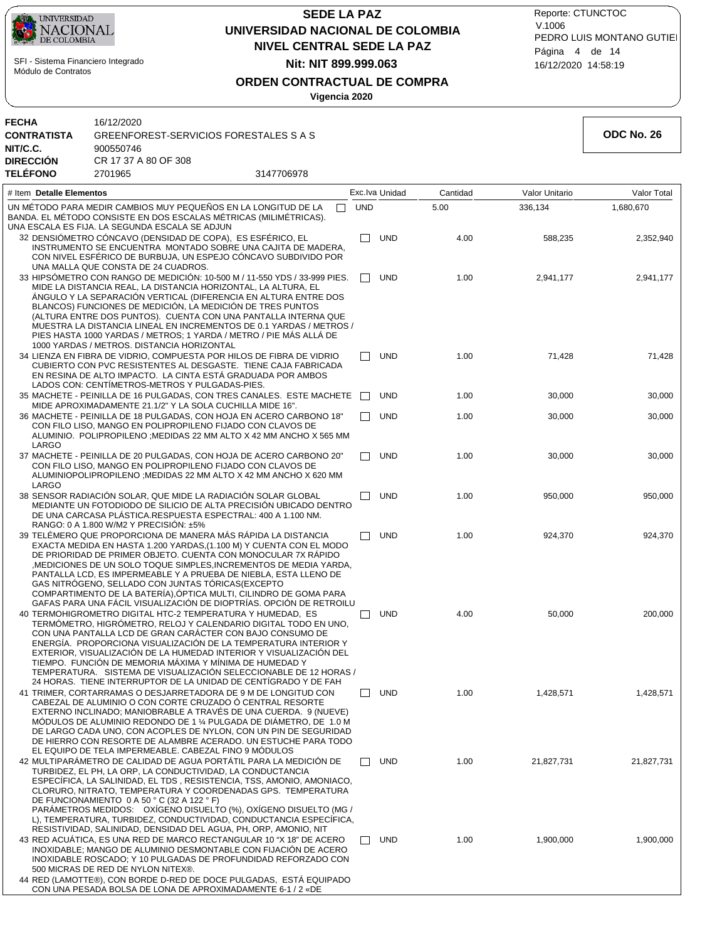

**Detalle Elementos** # Item

 SFI - Sistema Financiero Integrado Módulo de Contratos

# **NIVEL CENTRAL SEDE LA PAZ SEDE LA PAZ UNIVERSIDAD NACIONAL DE COLOMBIA Nit: NIT 899.999.063**

16/12/2020 14:58:19 PEDRO LUIS MONTANO GUTIEI Reporte: CTUNCTOC V.1006 Página 4 de 14

Valor Unitario

## **ORDEN CONTRACTUAL DE COMPRA**

**Vigencia 2020**

Exc.Iva Unidad

Cantidad

| FECHA       | 16/12/2020                             |            |
|-------------|----------------------------------------|------------|
| CONTRATISTA | GREENFOREST-SERVICIOS FORESTALES S A S |            |
| NIT/C.C.    | 900550746                              |            |
| DIRECCIÓN   | CR 17 37 A 80 OF 308                   |            |
| TELÉFONO    | 2701965                                | 3147706978 |

| UN MÉTODO PARA MEDIR CAMBIOS MUY PEQUEÑOS EN LA LONGITUD DE LA<br>$\mathbf{L}$<br>BANDA. EL MÉTODO CONSISTE EN DOS ESCALAS MÉTRICAS (MILIMÉTRICAS).<br>UNA ESCALA ES FIJA. LA SEGUNDA ESCALA SE ADJUN                                                                                                                                                                                                                                                                                                                                             | <b>UND</b>   |            | 5.00 | 336,134    | 1,680,670  |
|---------------------------------------------------------------------------------------------------------------------------------------------------------------------------------------------------------------------------------------------------------------------------------------------------------------------------------------------------------------------------------------------------------------------------------------------------------------------------------------------------------------------------------------------------|--------------|------------|------|------------|------------|
| 32 DENSIÓMETRO CÓNCAVO (DENSIDAD DE COPA), ES ESFÉRICO, EL<br>INSTRUMENTO SE ENCUENTRA MONTADO SOBRE UNA CAJITA DE MADERA,<br>CON NIVEL ESFÉRICO DE BURBUJA, UN ESPEJO CÓNCAVO SUBDIVIDO POR<br>UNA MALLA QUE CONSTA DE 24 CUADROS.                                                                                                                                                                                                                                                                                                               | $\Box$       | <b>UND</b> | 4.00 | 588,235    | 2,352,940  |
| 33 HIPSÓMETRO CON RANGO DE MEDICIÓN: 10-500 M / 11-550 YDS / 33-999 PIES.<br>MIDE LA DISTANCIA REAL, LA DISTANCIA HORIZONTAL, LA ALTURA, EL<br>ÁNGULO Y LA SEPARACIÓN VERTICAL (DIFERENCIA EN ALTURA ENTRE DOS<br>BLANCOS) FUNCIONES DE MEDICIÓN, LA MEDICIÓN DE TRES PUNTOS<br>(ALTURA ENTRE DOS PUNTOS). CUENTA CON UNA PANTALLA INTERNA QUE<br>MUESTRA LA DISTANCIA LINEAL EN INCREMENTOS DE 0.1 YARDAS / METROS /<br>PIES HASTA 1000 YARDAS / METROS; 1 YARDA / METRO / PIE MÁS ALLÁ DE<br>1000 YARDAS / METROS. DISTANCIA HORIZONTAL         | П            | <b>UND</b> | 1.00 | 2,941,177  | 2,941,177  |
| 34 LIENZA EN FIBRA DE VIDRIO, COMPUESTA POR HILOS DE FIBRA DE VIDRIO<br>CUBIERTO CON PVC RESISTENTES AL DESGASTE. TIENE CAJA FABRICADA<br>EN RESINA DE ALTO IMPACTO. LA CINTA ESTÁ GRADUADA POR AMBOS<br>LADOS CON: CENTIMETROS-METROS Y PULGADAS-PIES.                                                                                                                                                                                                                                                                                           | ΓI           | <b>UND</b> | 1.00 | 71,428     | 71,428     |
| 35 MACHETE - PEINILLA DE 16 PULGADAS, CON TRES CANALES. ESTE MACHETE<br>MIDE APROXIMADAMENTE 21.1/2" Y LA SOLA CUCHILLA MIDE 16".                                                                                                                                                                                                                                                                                                                                                                                                                 | $\mathbf{1}$ | <b>UND</b> | 1.00 | 30,000     | 30,000     |
| 36 MACHETE - PEINILLA DE 18 PULGADAS, CON HOJA EN ACERO CARBONO 18"<br>CON FILO LISO, MANGO EN POLIPROPILENO FIJADO CON CLAVOS DE<br>ALUMINIO. POLIPROPILENO ; MEDIDAS 22 MM ALTO X 42 MM ANCHO X 565 MM<br>LARGO                                                                                                                                                                                                                                                                                                                                 |              | <b>UND</b> | 1.00 | 30,000     | 30,000     |
| 37 MACHETE - PEINILLA DE 20 PULGADAS, CON HOJA DE ACERO CARBONO 20"<br>CON FILO LISO, MANGO EN POLIPROPILENO FIJADO CON CLAVOS DE<br>ALUMINIOPOLIPROPILENO ; MEDIDAS 22 MM ALTO X 42 MM ANCHO X 620 MM<br>LARGO                                                                                                                                                                                                                                                                                                                                   | $\Box$       | <b>UND</b> | 1.00 | 30,000     | 30,000     |
| 38 SENSOR RADIACIÓN SOLAR, QUE MIDE LA RADIACIÓN SOLAR GLOBAL<br>MEDIANTE UN FOTODIODO DE SILICIO DE ALTA PRECISIÓN UBICADO DENTRO<br>DE UNA CARCASA PLASTICA.RESPUESTA ESPECTRAL: 400 A 1.100 NM.<br>RANGO: 0 A 1.800 W/M2 Y PRECISIÓN: ±5%                                                                                                                                                                                                                                                                                                      | O.           | <b>UND</b> | 1.00 | 950,000    | 950,000    |
| 39 TELÉMERO QUE PROPORCIONA DE MANERA MÁS RÁPIDA LA DISTANCIA<br>EXACTA MEDIDA EN HASTA 1.200 YARDAS, (1.100 M) Y CUENTA CON EL MODO<br>DE PRIORIDAD DE PRIMER OBJETO. CUENTA CON MONOCULAR 7X RÁPIDO<br>, MEDICIONES DE UN SOLO TOQUE SIMPLES, INCREMENTOS DE MEDIA YARDA,<br>PANTALLA LCD, ES IMPERMEABLE Y A PRUEBA DE NIEBLA, ESTA LLENO DE<br>GAS NITRÓGENO, SELLADO CON JUNTAS TÓRICAS (EXCEPTO<br>COMPARTIMENTO DE LA BATERÍA), ÓPTICA MULTI, CILINDRO DE GOMA PARA<br>GAFAS PARA UNA FÁCIL VISUALIZACIÓN DE DIOPTRÍAS. OPCIÓN DE RETROILU |              | <b>UND</b> | 1.00 | 924,370    | 924,370    |
| 40 TERMOHIGROMETRO DIGITAL HTC-2 TEMPERATURA Y HUMEDAD, ES<br>TERMÓMETRO, HIGRÓMETRO, RELOJ Y CALENDARIO DIGITAL TODO EN UNO,<br>CON UNA PANTALLA LCD DE GRAN CARÁCTER CON BAJO CONSUMO DE<br>ENERGÍA. PROPORCIONA VISUALIZACIÓN DE LA TEMPERATURA INTERIOR Y<br>EXTERIOR, VISUALIZACION DE LA HUMEDAD INTERIOR Y VISUALIZACION DEL<br>TIEMPO. FUNCION DE MEMORIA MAXIMA Y MINIMA DE HUMEDAD Y<br>TEMPERATURA. SISTEMA DE VISUALIZACIÓN SELECCIONABLE DE 12 HORAS /<br>24 HORAS. TIENE INTERRUPTOR DE LA UNIDAD DE CENTIGRADO Y DE FAH            | $\Box$       | <b>UND</b> | 4.00 | 50,000     | 200,000    |
| 41 TRIMER, CORTARRAMAS O DESJARRETADORA DE 9 M DE LONGITUD CON<br>CABEZAL DE ALUMINIO O CON CORTE CRUZADO O CENTRAL RESORTE<br>EXTERNO INCLINADO; MANIOBRABLE A TRAVES DE UNA CUERDA. 9 (NUEVE)<br>MÓDULOS DE ALUMINIO REDONDO DE 1 ¼ PULGADA DE DIÁMETRO, DE 1.0 M<br>DE LARGO CADA UNO, CON ACOPLES DE NYLON, CON UN PIN DE SEGURIDAD<br>DE HIERRO CON RESORTE DE ALAMBRE ACERADO. UN ESTUCHE PARA TODO<br>EL EQUIPO DE TELA IMPERMEABLE. CABEZAL FINO 9 MÓDULOS                                                                                |              | <b>UND</b> | 1.00 | 1,428,571  | 1,428,571  |
| 42 MULTIPARÀMETRO DE CALIDAD DE AGUA PORTÀTIL PARA LA MEDICIÓN DE<br>TURBIDEZ, EL PH, LA ORP, LA CONDUCTIVIDAD, LA CONDUCTANCIA<br>ESPECÍFICA, LA SALINIDAD, EL TDS, RESISTENCIA, TSS, AMONIO, AMONIACO,<br>CLORURO, NITRATO, TEMPERATURA Y COORDENADAS GPS. TEMPERATURA<br>DE FUNCIONAMIENTO 0 A 50 °C (32 A 122 °F)<br>PARÁMETROS MEDIDOS: OXÍGENO DISUELTO (%), OXÍGENO DISUELTO (MG /                                                                                                                                                         |              | <b>UND</b> | 1.00 | 21,827,731 | 21,827,731 |

UND

1.00

1,900,000

1,900,000

L), TEMPERATURA, TURBIDEZ, CONDUCTIVIDAD, CONDUCTANCIA ESPECÍFICA, RESISTIVIDAD, SALINIDAD, DENSIDAD DEL AGUA, PH, ORP, AMONIO, NIT 43 RED ACUATICA, ES UNA RED DE MARCO RECTANGULAR 10 "X 18" DE ACERO INOXIDABLE; MANGO DE ALUMINIO DESMONTABLE CON FIJACIÓN DE ACERO INOXIDABLE ROSCADO; Y 10 PULGADAS DE PROFUNDIDAD REFORZADO CON

500 MICRAS DE RED DE NYLON NITEX®. 44 RED (LAMOTTE®), CON BORDE D-RED DE DOCE PULGADAS, ESTÁ EQUIPADO CON UNA PESADA BOLSA DE LONA DE APROXIMADAMENTE 6-1 / 2 «DE

**ODC No. 26**

Valor Total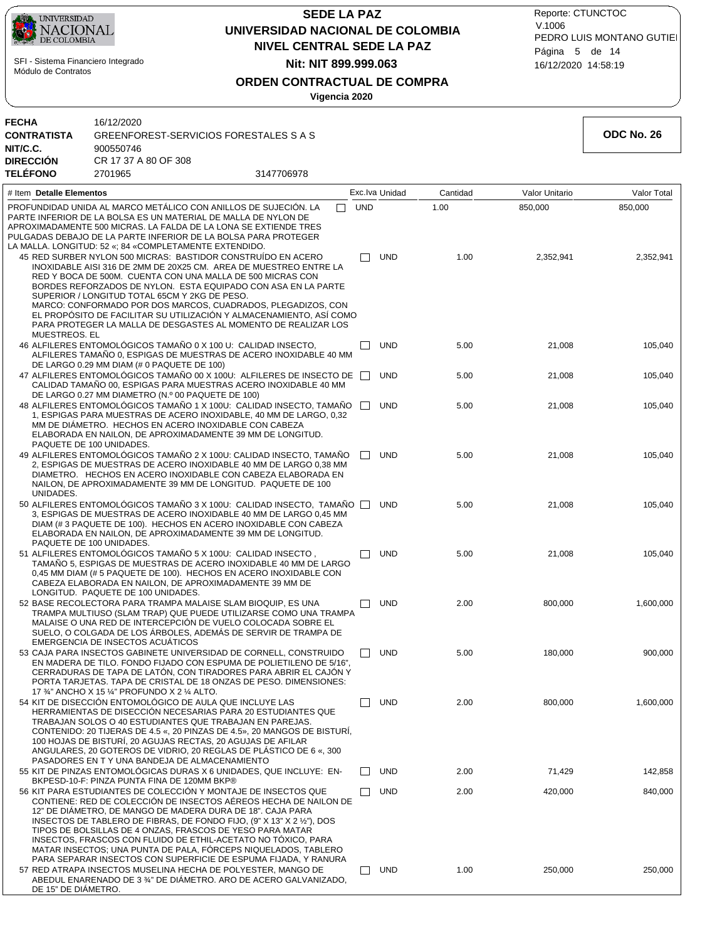

# **NIVEL CENTRAL SEDE LA PAZ SEDE LA PAZ UNIVERSIDAD NACIONAL DE COLOMBIA Nit: NIT 899.999.063**

16/12/2020 14:58:19 PEDRO LUIS MONTANO GUTIEI Reporte: CTUNCTOC V.1006 Página 5 de 14

**ODC No. 26**

## **ORDEN CONTRACTUAL DE COMPRA**

| FECHA<br>CONTRATISTA | 16/12/2020<br>GREENFOREST-SERVICIOS FORESTALES S A S |            |
|----------------------|------------------------------------------------------|------------|
| NIT/C.C.             | 900550746                                            |            |
| DIRECCIÓN            | CR 17 37 A 80 OF 308                                 |            |
| <b>TELÉFONO</b>      | 2701965                                              | 3147706978 |

| <b>I ELEFUNU</b>         | 7101909                                                                                                                                                                                                                                                                                                                                                                                                                                                                                                                                                                                       | 3147700970 |        |            |                |          |                |             |
|--------------------------|-----------------------------------------------------------------------------------------------------------------------------------------------------------------------------------------------------------------------------------------------------------------------------------------------------------------------------------------------------------------------------------------------------------------------------------------------------------------------------------------------------------------------------------------------------------------------------------------------|------------|--------|------------|----------------|----------|----------------|-------------|
| # Item Detalle Elementos |                                                                                                                                                                                                                                                                                                                                                                                                                                                                                                                                                                                               |            |        |            | Exc.Iva Unidad | Cantidad | Valor Unitario | Valor Total |
|                          | PROFUNDIDAD UNIDA AL MARCO METÁLICO CON ANILLOS DE SUJECIÓN. LA<br>PARTE INFERIOR DE LA BOLSA ES UN MATERIAL DE MALLA DE NYLON DE<br>APROXIMADAMENTE 500 MICRAS. LA FALDA DE LA LONA SE EXTIENDE TRES<br>PULGADAS DEBAJO DE LA PARTE INFERIOR DE LA BOLSA PARA PROTEGER<br>LA MALLA. LONGITUD: 52 «; 84 «COMPLETAMENTE EXTENDIDO.                                                                                                                                                                                                                                                             |            | $\Box$ | <b>UND</b> |                | 1.00     | 850,000        | 850,000     |
| MUESTREOS. EL            | 45 RED SURBER NYLON 500 MICRAS: BASTIDOR CONSTRUIDO EN ACERO<br>INOXIDABLE AISI 316 DE 2MM DE 20X25 CM. AREA DE MUESTREO ENTRE LA<br>RED Y BOCA DE 500M. CUENTA CON UNA MALLA DE 500 MICRAS CON<br>BORDES REFORZADOS DE NYLON. ESTA EQUIPADO CON ASA EN LA PARTE<br>SUPERIOR / LONGITUD TOTAL 65CM Y 2KG DE PESO.<br>MARCO: CONFORMADO POR DOS MARCOS, CUADRADOS, PLEGADIZOS, CON<br>EL PROPOSITO DE FACILITAR SU UTILIZACIÓN Y ALMACENAMIENTO, ASÍ COMO<br>PARA PROTEGER LA MALLA DE DESGASTES AL MOMENTO DE REALIZAR LOS                                                                    |            |        |            | <b>UND</b>     | 1.00     | 2,352,941      | 2,352,941   |
|                          | 46 ALFILERES ENTOMOLÓGICOS TAMAÑO 0 X 100 U: CALIDAD INSECTO,<br>ALFILERES TAMANO 0, ESPIGAS DE MUESTRAS DE ACERO INOXIDABLE 40 MM<br>DE LARGO 0.29 MM DIAM (# 0 PAQUETE DE 100)                                                                                                                                                                                                                                                                                                                                                                                                              |            |        |            | <b>UND</b>     | 5.00     | 21,008         | 105.040     |
|                          | 47 ALFILERES ENTOMOLÓGICOS TAMAÑO 00 X 100U: ALFILERES DE INSECTO DE  <br>CALIDAD TAMANO 00, ESPIGAS PARA MUESTRAS ACERO INOXIDABLE 40 MM<br>DE LARGO 0.27 MM DIAMETRO (N.º 00 PAQUETE DE 100)                                                                                                                                                                                                                                                                                                                                                                                                |            |        |            | <b>UND</b>     | 5.00     | 21,008         | 105,040     |
|                          | 48 ALFILERES ENTOMOLÓGICOS TAMAÑO 1 X 100U: CALIDAD INSECTO, TAMAÑO<br>1, ESPIGAS PARA MUESTRAS DE ACERO INOXIDABLE, 40 MM DE LARGO, 0,32<br>MM DE DIAMETRO. HECHOS EN ACERO INOXIDABLE CON CABEZA<br>ELABORADA EN NAILON, DE APROXIMADAMENTE 39 MM DE LONGITUD.<br>PAQUETE DE 100 UNIDADES.                                                                                                                                                                                                                                                                                                  |            |        |            | <b>UND</b>     | 5.00     | 21,008         | 105,040     |
| UNIDADES.                | 49 ALFILERES ENTOMOLÓGICOS TAMAÑO 2 X 100U: CALIDAD INSECTO, TAMAÑO<br>2, ESPIGAS DE MUESTRAS DE ACERO INOXIDABLE 40 MM DE LARGO 0,38 MM<br>DIAMETRO. HECHOS EN ACERO INOXIDABLE CON CABEZA ELABORADA EN<br>NAILON, DE APROXIMADAMENTE 39 MM DE LONGITUD. PAQUETE DE 100                                                                                                                                                                                                                                                                                                                      |            |        |            | <b>UND</b>     | 5.00     | 21,008         | 105,040     |
|                          | 50 ALFILERES ENTOMOLÓGICOS TAMAÑO 3 X 100U: CALIDAD INSECTO, TAMAÑO □<br>3, ESPIGAS DE MUESTRAS DE ACERO INOXIDABLE 40 MM DE LARGO 0.45 MM<br>DIAM (# 3 PAQUETE DE 100). HECHOS EN ACERO INOXIDABLE CON CABEZA<br>ELABORADA EN NAILON, DE APROXIMADAMENTE 39 MM DE LONGITUD.<br>PAQUETE DE 100 UNIDADES.                                                                                                                                                                                                                                                                                      |            |        |            | <b>UND</b>     | 5.00     | 21,008         | 105,040     |
|                          | 51 ALFILERES ENTOMOLÓGICOS TAMAÑO 5 X 100U: CALIDAD INSECTO,<br>TAMANO 5, ESPIGAS DE MUESTRAS DE ACERO INOXIDABLE 40 MM DE LARGO<br>0,45 MM DIAM (# 5 PAQUETE DE 100). HECHOS EN ACERO INOXIDABLE CON<br>CABEZA ELABORADA EN NAILON, DE APROXIMADAMENTE 39 MM DE<br>LONGITUD. PAQUETE DE 100 UNIDADES.                                                                                                                                                                                                                                                                                        |            |        | $\Box$     | <b>UND</b>     | 5.00     | 21,008         | 105,040     |
|                          | 52 BASE RECOLECTORA PARA TRAMPA MALAISE SLAM BIOQUIP, ES UNA<br>TRAMPA MULTIUSO (SLAM TRAP) QUE PUEDE UTILIZARSE COMO UNA TRAMPA<br>MALAISE O UNA RED DE INTERCEPCION DE VUELO COLOCADA SOBRE EL<br>SUELO, O COLGADA DE LOS ARBOLES, ADEMAS DE SERVIR DE TRAMPA DE<br>EMERGENCIA DE INSECTOS ACUATICOS                                                                                                                                                                                                                                                                                        |            |        |            | <b>UND</b>     | 2.00     | 800,000        | 1,600,000   |
|                          | 53 CAJA PARA INSECTOS GABINETE UNIVERSIDAD DE CORNELL, CONSTRUIDO<br>EN MADERA DE TILO. FONDO FIJADO CON ESPUMA DE POLIETILENO DE 5/16".<br>CERRADURAS DE TAPA DE LATÓN, CON TIRADORES PARA ABRIR EL CAJÓN Y<br>PORTA TARJETAS. TAPA DE CRISTAL DE 18 ONZAS DE PESO. DIMENSIONES:<br>17 3/4" ANCHO X 15 1/4" PROFUNDO X 2 1/4 ALTO.                                                                                                                                                                                                                                                           |            |        | $\perp$    | <b>UND</b>     | 5.00     | 180,000        | 900,000     |
|                          | 54 KIT DE DISECCIÓN ENTOMOLÓGICO DE AULA QUE INCLUYE LAS<br>HERRAMIENTAS DE DISECCIÓN NECESARIAS PARA 20 ESTUDIANTES QUE<br>TRABAJAN SOLOS O 40 ESTUDIANTES QUE TRABAJAN EN PAREJAS.<br>CONTENIDO: 20 TIJERAS DE 4.5 «, 20 PINZAS DE 4.5», 20 MANGOS DE BISTURI,<br>100 HOJAS DE BISTURI, 20 AGUJAS RECTAS, 20 AGUJAS DE AFILAR<br>ANGULARES, 20 GOTEROS DE VIDRIO, 20 REGLAS DE PLÁSTICO DE 6 «, 300<br>PASADORES EN TY UNA BANDEJA DE ALMACENAMIENTO                                                                                                                                        |            |        |            | <b>UND</b>     | 2.00     | 800,000        | 1.600.000   |
|                          | 55 KIT DE PINZAS ENTOMOLÓGICAS DURAS X 6 UNIDADES, QUE INCLUYE: EN-                                                                                                                                                                                                                                                                                                                                                                                                                                                                                                                           |            |        | $\Box$     | <b>UND</b>     | 2.00     | 71.429         | 142.858     |
|                          | BKPESD-10-F: PINZA PUNTA FINA DE 120MM BKP®<br>56 KIT PARA ESTUDIANTES DE COLECCIÓN Y MONTAJE DE INSECTOS QUE<br>CONTIENE: RED DE COLECCIÓN DE INSECTOS AÉREOS HECHA DE NAILON DE<br>12" DE DIAMETRO, DE MANGO DE MADERA DURA DE 18". CAJA PARA<br>INSECTOS DE TABLERO DE FIBRAS, DE FONDO FIJO, $(9" X 13" X 2 ½")$ , DOS<br>TIPOS DE BOLSILLAS DE 4 ONZAS. FRASCOS DE YESO PARA MATAR<br>INSECTOS, FRASCOS CON FLUIDO DE ETHIL-ACETATO NO TÓXICO, PARA<br>MATAR INSECTOS; UNA PUNTA DE PALA, FÓRCEPS NIQUELADOS, TABLERO<br>PARA SEPARAR INSECTOS CON SUPERFICIE DE ESPUMA FIJADA, Y RANURA |            |        |            | <b>UND</b>     | 2.00     | 420,000        | 840,000     |
| DE 15" DE DIAMETRO.      | 57 RED ATRAPA INSECTOS MUSELINA HECHA DE POLYESTER, MANGO DE<br>ABEDUL ENARENADO DE 3 3/4" DE DIÁMETRO. ARO DE ACERO GALVANIZADO,                                                                                                                                                                                                                                                                                                                                                                                                                                                             |            |        |            | <b>UND</b>     | 1.00     | 250,000        | 250,000     |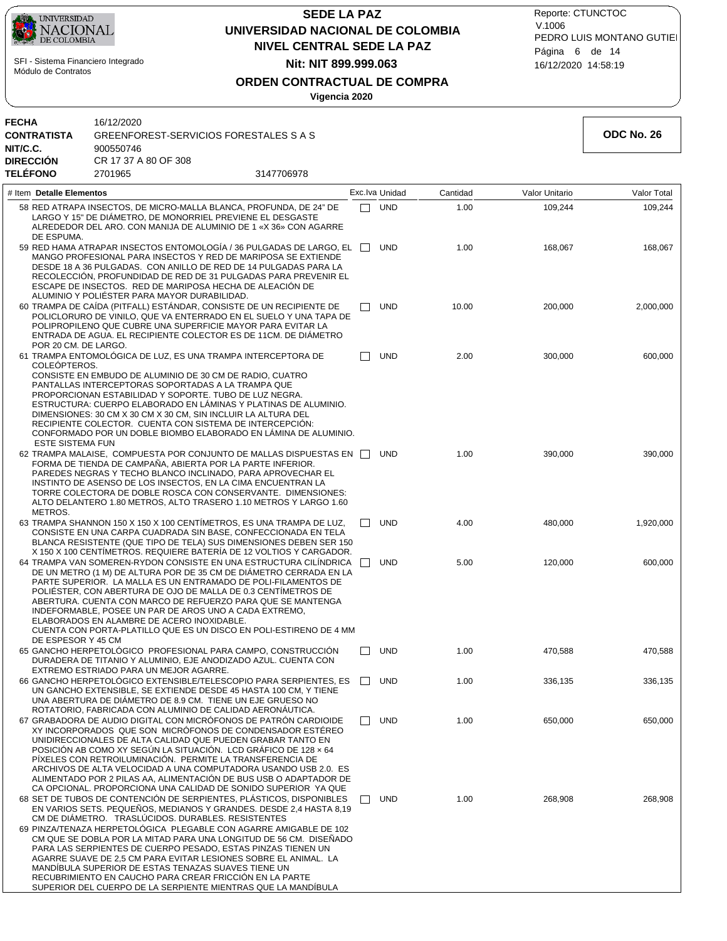

# **NIVEL CENTRAL SEDE LA PAZ SEDE LA PAZ UNIVERSIDAD NACIONAL DE COLOMBIA Nit: NIT 899.999.063**

16/12/2020 14:58:19 PEDRO LUIS MONTANO GUTIEI Reporte: CTUNCTOC V.1006 Página 6 de 14

**ODC No. 26**

## **ORDEN CONTRACTUAL DE COMPRA**

| 16/12/2020           |                                        |
|----------------------|----------------------------------------|
|                      |                                        |
| 900550746            |                                        |
| CR 17 37 A 80 OF 308 |                                        |
| 2701965              | 3147706978                             |
|                      | GREENFOREST-SERVICIOS FORESTALES S A S |

| # Item Detalle Elementos                                                                                                                                                                                                                                                                                                                                                                                                                                                                                                                                                                                                                                        |                   | Exc.lva Unidad | Cantidad | Valor Unitario | Valor Total |
|-----------------------------------------------------------------------------------------------------------------------------------------------------------------------------------------------------------------------------------------------------------------------------------------------------------------------------------------------------------------------------------------------------------------------------------------------------------------------------------------------------------------------------------------------------------------------------------------------------------------------------------------------------------------|-------------------|----------------|----------|----------------|-------------|
| 58 RED ATRAPA INSECTOS, DE MICRO-MALLA BLANCA, PROFUNDA, DE 24" DE<br>LARGO Y 15" DE DIAMETRO, DE MONORRIEL PREVIENE EL DESGASTE<br>ALREDEDOR DEL ARO. CON MANIJA DE ALUMINIO DE 1 «X 36» CON AGARRE<br>DE ESPUMA.                                                                                                                                                                                                                                                                                                                                                                                                                                              |                   | <b>UND</b>     | 1.00     | 109,244        | 109,244     |
| 59 RED HAMA ATRAPAR INSECTOS ENTOMOLOGÍA / 36 PULGADAS DE LARGO, EL<br>MANGO PROFESIONAL PARA INSECTOS Y RED DE MARIPOSA SE EXTIENDE<br>DESDE 18 A 36 PULGADAS. CON ANILLO DE RED DE 14 PULGADAS PARA LA<br>RECOLECCION, PROFUNDIDAD DE RED DE 31 PULGADAS PARA PREVENIR EL<br>ESCAPE DE INSECTOS. RED DE MARIPOSA HECHA DE ALEACIÓN DE<br>ALUMINIO Y POLIÉSTER PARA MAYOR DURABILIDAD.                                                                                                                                                                                                                                                                         |                   | <b>UND</b>     | 1.00     | 168,067        | 168,067     |
| 60 TRAMPA DE CAÍDA (PITFALL) ESTÁNDAR, CONSISTE DE UN RECIPIENTE DE<br>POLICLORURO DE VINILO, QUE VA ENTERRADO EN EL SUELO Y UNA TAPA DE<br>POLIPROPILENO QUE CUBRE UNA SUPERFICIE MAYOR PARA EVITAR LA<br>ENTRADA DE AGUA. EL RECIPIENTE COLECTOR ES DE 11CM. DE DIAMETRO<br>POR 20 CM. DE LARGO.                                                                                                                                                                                                                                                                                                                                                              | $\Box$            | <b>UND</b>     | 10.00    | 200,000        | 2,000,000   |
| 61 TRAMPA ENTOMOLÓGICA DE LUZ, ES UNA TRAMPA INTERCEPTORA DE<br>COLEÓPTEROS.<br>CONSISTE EN EMBUDO DE ALUMINIO DE 30 CM DE RADIO, CUATRO<br>PANTALLAS INTERCEPTORAS SOPORTADAS A LA TRAMPA QUE<br>PROPORCIONAN ESTABILIDAD Y SOPORTE. TUBO DE LUZ NEGRA.<br>ESTRUCTURA: CUERPO ELABORADO EN LAMINAS Y PLATINAS DE ALUMINIO.<br>DIMENSIONES: 30 CM X 30 CM X 30 CM, SIN INCLUIR LA ALTURA DEL<br>RECIPIENTE COLECTOR. CUENTA CON SISTEMA DE INTERCEPCIÓN:<br>CONFORMADO POR UN DOBLE BIOMBO ELABORADO EN LÁMINA DE ALUMINIO.<br><b>ESTE SISTEMA FUN</b>                                                                                                          | $\vert \ \ \vert$ | <b>UND</b>     | 2.00     | 300,000        | 600,000     |
| 62 TRAMPA MALAISE, COMPUESTA POR CONJUNTO DE MALLAS DISPUESTAS EN<br>FORMA DE TIENDA DE CAMPAÑA, ABIERTA POR LA PARTE INFERIOR.<br>PAREDES NEGRAS Y TECHO BLANCO INCLINADO, PARA APROVECHAR EL<br>INSTINTO DE ASENSO DE LOS INSECTOS, EN LA CIMA ENCUENTRAN LA<br>TORRE COLECTORA DE DOBLE ROSCA CON CONSERVANTE. DIMENSIONES:<br>ALTO DELANTERO 1.80 METROS, ALTO TRASERO 1.10 METROS Y LARGO 1.60<br>METROS.                                                                                                                                                                                                                                                  |                   | <b>UND</b>     | 1.00     | 390,000        | 390,000     |
| 63 TRAMPA SHANNON 150 X 150 X 100 CENTÍMETROS, ES UNA TRAMPA DE LUZ,<br>CONSISTE EN UNA CARPA CUADRADA SIN BASE, CONFECCIONADA EN TELA<br>BLANCA RESISTENTE (QUE TIPO DE TELA) SUS DIMENSIONES DEBEN SER 150<br>X 150 X 100 CENTIMETROS. REQUIERE BATERIA DE 12 VOLTIOS Y CARGADOR.                                                                                                                                                                                                                                                                                                                                                                             | П.                | <b>UND</b>     | 4.00     | 480,000        | 1,920,000   |
| 64 TRAMPA VAN SOMEREN-RYDON CONSISTE EN UNA ESTRUCTURA CILÍNDRICA<br>DE UN METRO (1 M) DE ALTURA POR DE 35 CM DE DIAMETRO CERRADA EN LA<br>PARTE SUPERIOR. LA MALLA ES UN ENTRAMADO DE POLI-FILAMENTOS DE<br>POLIÉSTER, CON ABERTURA DE OJO DE MALLA DE 0.3 CENTÍMETROS DE<br>ABERTURA. CUENTA CON MARCO DE REFUERZO PARA QUE SE MANTENGA<br>INDEFORMABLE, POSEE UN PAR DE AROS UNO A CADA EXTREMO,<br>ELABORADOS EN ALAMBRE DE ACERO INOXIDABLE.<br>CUENTA CON PORTA-PLATILLO QUE ES UN DISCO EN POLI-ESTIRENO DE 4 MM<br>DE ESPESOR Y 45 CM                                                                                                                   | $\mathbf{1}$      | <b>UND</b>     | 5.00     | 120,000        | 600,000     |
| 65 GANCHO HERPETOLÓGICO PROFESIONAL PARA CAMPO. CONSTRUCCIÓN<br>DURADERA DE TITANIO Y ALUMINIO. EJE ANODIZADO AZUL. CUENTA CON<br>EXTREMO ESTRIADO PARA UN MEJOR AGARRE.                                                                                                                                                                                                                                                                                                                                                                                                                                                                                        | $\Box$            | <b>UND</b>     | 1.00     | 470,588        | 470,588     |
| 66 GANCHO HERPETOLÓGICO EXTENSIBLE/TELESCOPIO PARA SERPIENTES, ES<br>UN GANCHO EXTENSIBLE, SE EXTIENDE DESDE 45 HASTA 100 CM, Y TIENE<br>UNA ABERTURA DE DIAMETRO DE 8.9 CM. TIENE UN EJE GRUESO NO<br>ROTATORIO, FABRICADA CON ALUMINIO DE CALIDAD AERONAUTICA.                                                                                                                                                                                                                                                                                                                                                                                                | $\Box$            | <b>UND</b>     | 1.00     | 336,135        | 336,135     |
| 67 GRABADORA DE AUDIO DIGITAL CON MICRÓFONOS DE PATRÓN CARDIOIDE<br>XY INCORPORADOS QUE SON MICRÓFONOS DE CONDENSADOR ESTÉREO<br>UNIDIRECCIONALES DE ALTA CALIDAD QUE PUEDEN GRABAR TANTO EN<br>POSICIÓN AB COMO XY SEGÚN LA SITUACIÓN. LCD GRÁFICO DE 128 x 64<br>PÍXELES CON RETROILUMINACIÓN. PERMITE LA TRANSFERENCIA DE<br>ARCHIVOS DE ALTA VELOCIDAD A UNA COMPUTADORA USANDO USB 2.0. ES<br>ALIMENTADO POR 2 PILAS AA, ALIMENTACION DE BUS USB O ADAPTADOR DE<br>CA OPCIONAL. PROPORCIONA UNA CALIDAD DE SONIDO SUPERIOR YA QUE                                                                                                                          | $\Box$            | UND            | 1.00     | 650,000        | 650,000     |
| 68 SET DE TUBOS DE CONTENCIÓN DE SERPIENTES. PLÁSTICOS, DISPONIBLES<br>EN VARIOS SETS. PEQUEÑOS, MEDIANOS Y GRANDES. DESDE 2,4 HASTA 8,19<br>CM DE DIÁMETRO. TRASLÚCIDOS, DURABLES, RESISTENTES<br>69 PINZA/TENAZA HERPETOLÓGICA PLEGABLE CON AGARRE AMIGABLE DE 102<br>CM QUE SE DOBLA POR LA MITAD PARA UNA LONGITUD DE 56 CM. DISEÑADO<br>PARA LAS SERPIENTES DE CUERPO PESADO, ESTAS PINZAS TIENEN UN<br>AGARRE SUAVE DE 2,5 CM PARA EVITAR LESIONES SOBRE EL ANIMAL. LA<br>MANDIBULA SUPERIOR DE ESTAS TENAZAS SUAVES TIENE UN<br>RECUBRIMIENTO EN CAUCHO PARA CREAR FRICCION EN LA PARTE<br>SUPERIOR DEL CUERPO DE LA SERPIENTE MIENTRAS QUE LA MANDIBULA | $\Box$            | <b>UND</b>     | 1.00     | 268,908        | 268,908     |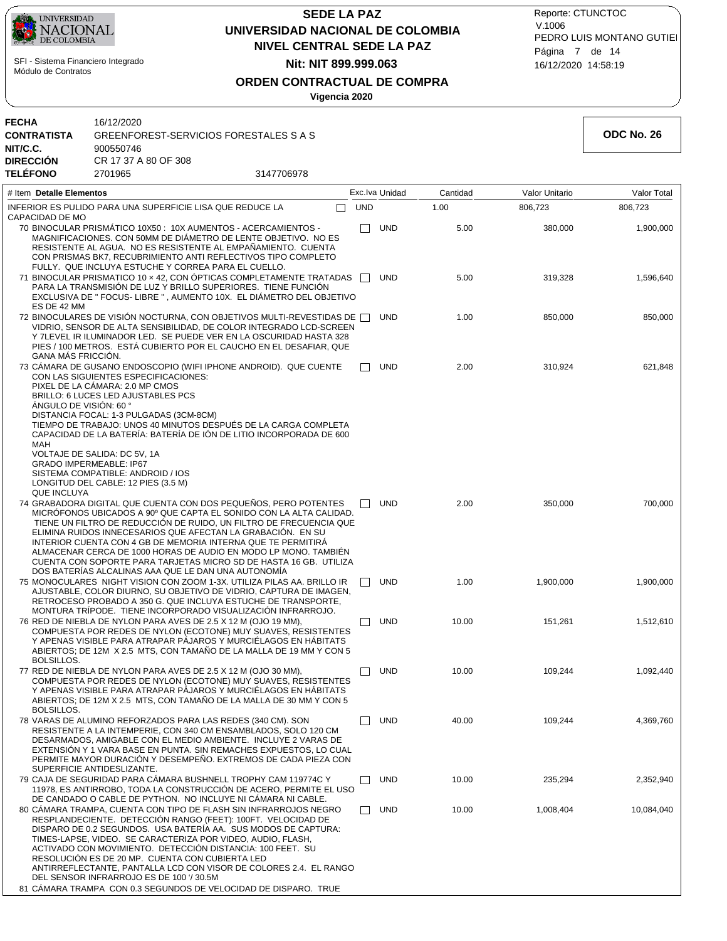

# **NIVEL CENTRAL SEDE LA PAZ SEDE LA PAZ UNIVERSIDAD NACIONAL DE COLOMBIA Nit: NIT 899.999.063**

16/12/2020 14:58:19 PEDRO LUIS MONTANO GUTIEI Reporte: CTUNCTOC V.1006 Página 7 de 14

**ODC No. 26**

## **ORDEN CONTRACTUAL DE COMPRA**

| <b>FECHA</b>       | 16/12/2020                             |            |
|--------------------|----------------------------------------|------------|
| <b>CONTRATISTA</b> | GREENFOREST-SERVICIOS FORESTALES S A S |            |
| NIT/C.C.           | 900550746                              |            |
| <b>DIRECCIÓN</b>   | CR 17 37 A 80 OF 308                   |            |
| <b>TELÉFONO</b>    | 2701965                                | 3147706978 |

| # Item Detalle Elementos                                                                                                                                                                                                                                                                                                                                                                                                                                                                                                                                        |              |              | Exc.Iva Unidad | Cantidad | Valor Unitario | Valor Total |
|-----------------------------------------------------------------------------------------------------------------------------------------------------------------------------------------------------------------------------------------------------------------------------------------------------------------------------------------------------------------------------------------------------------------------------------------------------------------------------------------------------------------------------------------------------------------|--------------|--------------|----------------|----------|----------------|-------------|
| INFERIOR ES PULIDO PARA UNA SUPERFICIE LISA QUE REDUCE LA<br>CAPACIDAD DE MO                                                                                                                                                                                                                                                                                                                                                                                                                                                                                    | $\mathbf{I}$ | <b>UND</b>   |                | 1.00     | 806,723        | 806,723     |
| 70 BINOCULAR PRISMATICO 10X50 : 10X AUMENTOS - ACERCAMIENTOS -<br>MAGNIFICACIONES. CON 50MM DE DIAMETRO DE LENTE OBJETIVO. NO ES<br>RESISTENTE AL AGUA. NO ES RESISTENTE AL EMPANAMIENTO. CUENTA<br>CON PRISMAS BK7, RECUBRIMIENTO ANTI REFLECTIVOS TIPO COMPLETO<br>FULLY. QUE INCLUYA ESTUCHE Y CORREA PARA EL CUELLO.                                                                                                                                                                                                                                        |              | $\Box$       | <b>UND</b>     | 5.00     | 380,000        | 1,900,000   |
| 71 BINOCULAR PRISMATICO 10 x 42, CON OPTICAS COMPLETAMENTE TRATADAS<br>PARA LA TRANSMISIÓN DE LUZ Y BRILLO SUPERIORES. TIENE FUNCIÓN<br>EXCLUSIVA DE "FOCUS-LIBRE ", AUMENTO 10X. EL DIÀMETRO DEL OBJETIVO<br>ES DE 42 MM                                                                                                                                                                                                                                                                                                                                       |              | $\Box$       | <b>UND</b>     | 5.00     | 319,328        | 1,596,640   |
| 72 BINOCULARES DE VISIÓN NOCTURNA, CON OBJETIVOS MULTI-REVESTIDAS DE [<br>VIDRIO, SENSOR DE ALTA SENSIBILIDAD, DE COLOR INTEGRADO LCD-SCREEN<br>Y 7LEVEL IR ILUMINADOR LED. SE PUEDE VER EN LA OSCURIDAD HASTA 328<br>PIES / 100 METROS. ESTÁ CUBIERTO POR EL CAUCHO EN EL DESAFIAR, QUE<br>GANA MÁS FRICCIÓN.                                                                                                                                                                                                                                                  |              |              | <b>UND</b>     | 1.00     | 850,000        | 850,000     |
| 73 CÁMARA DE GUSANO ENDOSCOPIO (WIFI IPHONE ANDROID). QUE CUENTE<br>CON LAS SIGUIENTES ESPECIFICACIONES:<br>PIXEL DE LA CÁMARA: 2.0 MP CMOS<br>BRILLO: 6 LUCES LED AJUSTABLES PCS<br>ANGULO DE VISIÓN: 60 °<br>DISTANCIA FOCAL: 1-3 PULGADAS (3CM-8CM)<br>TIEMPO DE TRABAJO: UNOS 40 MINUTOS DESPUÉS DE LA CARGA COMPLETA<br>CAPACIDAD DE LA BATERÍA: BATERÍA DE IÓN DE LITIO INCORPORADA DE 600<br>MAH<br>VOLTAJE DE SALIDA: DC 5V, 1A<br><b>GRADO IMPERMEABLE: IP67</b><br>SISTEMA COMPATIBLE: ANDROID / IOS<br>LONGITUD DEL CABLE: 12 PIES (3.5 M)           |              | $\Box$       | UND            | 2.00     | 310,924        | 621,848     |
| <b>QUE INCLUYA</b><br>74 GRABADORA DIGITAL QUE CUENTA CON DOS PEQUEÑOS, PERO POTENTES<br>MICRÓFONOS UBICADOS A 90º QUE CAPTA EL SONIDO CON LA ALTA CALIDAD.<br>TIENE UN FILTRO DE REDUCCIÓN DE RUIDO, UN FILTRO DE FRECUENCIA QUE<br>ELIMINA RUIDOS INNECESARIOS QUE AFECTAN LA GRABACIÓN. EN SU<br>INTERIOR CUENTA CON 4 GB DE MEMORIA INTERNA QUE TE PERMITIRA<br>ALMACENAR CERCA DE 1000 HORAS DE AUDIO EN MODO LP MONO. TAMBIÉN<br>CUENTA CON SOPORTE PARA TARJETAS MICRO SD DE HASTA 16 GB. UTILIZA<br>DOS BATERÍAS ALCALINAS AAA QUE LE DAN UNA AUTONOMÍA |              |              | <b>UND</b>     | 2.00     | 350,000        | 700,000     |
| 75 MONOCULARES NIGHT VISION CON ZOOM 1-3X. UTILIZA PILAS AA. BRILLO IR<br>AJUSTABLE, COLOR DIURNO, SU OBJETIVO DE VIDRIO, CAPTURA DE IMAGEN,<br>RETROCESO PROBADO A 350 G. QUE INCLUYA ESTUCHE DE TRANSPORTE,<br>MONTURA TRÍPODE. TIENE INCORPORADO VISUALIZACIÓN INFRARROJO.                                                                                                                                                                                                                                                                                   |              |              | <b>UND</b>     | 1.00     | 1,900,000      | 1,900,000   |
| 76 RED DE NIEBLA DE NYLON PARA AVES DE 2.5 X 12 M (OJO 19 MM),<br>COMPUESTA POR REDES DE NYLON (ECOTONE) MUY SUAVES, RESISTENTES<br>Y APENAS VISIBLE PARA ATRAPAR PÁJAROS Y MURCIÉLAGOS EN HÁBITATS<br>ABIERTOS; DE 12M X 2.5 MTS, CON TAMAÑO DE LA MALLA DE 19 MM Y CON 5<br><b>BOLSILLOS.</b>                                                                                                                                                                                                                                                                 |              | $\mathsf{L}$ | <b>UND</b>     | 10.00    | 151,261        | 1,512,610   |
| 77 RED DE NIEBLA DE NYLON PARA AVES DE 2.5 X 12 M (OJO 30 MM),<br>COMPUESTA POR REDES DE NYLON (ECOTONE) MUY SUAVES, RESISTENTES<br>Y APENAS VISIBLE PARA ATRAPAR PÁJAROS Y MURCIÉLAGOS EN HÁBITATS<br>ABIERTOS; DE 12M X 2.5 MTS, CON TAMAÑO DE LA MALLA DE 30 MM Y CON 5<br><b>BOLSILLOS.</b>                                                                                                                                                                                                                                                                 |              | $\mathsf{L}$ | <b>UND</b>     | 10.00    | 109,244        | 1,092,440   |
| 78 VARAS DE ALUMINO REFORZADOS PARA LAS REDES (340 CM). SON<br>RESISTENTE A LA INTEMPERIE, CON 340 CM ENSAMBLADOS, SOLO 120 CM<br>DESARMADOS, AMIGABLE CON EL MEDIO AMBIENTE. INCLUYE 2 VARAS DE<br>EXTENSIÓN Y 1 VARA BASE EN PUNTA. SIN REMACHES EXPUESTOS. LO CUAL<br>PERMITE MAYOR DURACIÓN Y DESEMPEÑO. EXTREMOS DE CADA PIEZA CON<br>SUPERFICIE ANTIDESLIZANTE.                                                                                                                                                                                           |              |              | <b>UND</b>     | 40.00    | 109,244        | 4,369,760   |
| 79 CAJA DE SEGURIDAD PARA CÁMARA BUSHNELL TROPHY CAM 119774C Y<br>11978, ES ANTIRROBO, TODA LA CONSTRUCCIÓN DE ACERO, PERMITE EL USO<br>DE CANDADO O CABLE DE PYTHON. NO INCLUYE NI CAMARA NI CABLE.                                                                                                                                                                                                                                                                                                                                                            |              | П            | <b>UND</b>     | 10.00    | 235,294        | 2,352,940   |
| 80 CÁMARA TRAMPA, CUENTA CON TIPO DE FLASH SIN INFRARROJOS NEGRO<br>RESPLANDECIENTE. DETECCIÓN RANGO (FEET): 100FT. VELOCIDAD DE<br>DISPARO DE 0.2 SEGUNDOS. USA BATERÍA AA. SUS MODOS DE CAPTURA:<br>TIMES-LAPSE, VIDEO. SE CARACTERIZA POR VIDEO, AUDIO, FLASH,<br>ACTIVADO CON MOVIMIENTO. DETECCIÓN DISTANCIA: 100 FEET. SU<br>RESOLUCIÓN ES DE 20 MP. CUENTA CON CUBIERTA LED<br>ANTIRREFLECTANTE, PANTALLA LCD CON VISOR DE COLORES 2.4. EL RANGO<br>DEL SENSOR INFRARROJO ES DE 100 '/ 30.5M                                                             |              | $\Box$       | <b>UND</b>     | 10.00    | 1,008,404      | 10,084,040  |
| 81 CÁMARA TRAMPA CON 0.3 SEGUNDOS DE VELOCIDAD DE DISPARO. TRUE                                                                                                                                                                                                                                                                                                                                                                                                                                                                                                 |              |              |                |          |                |             |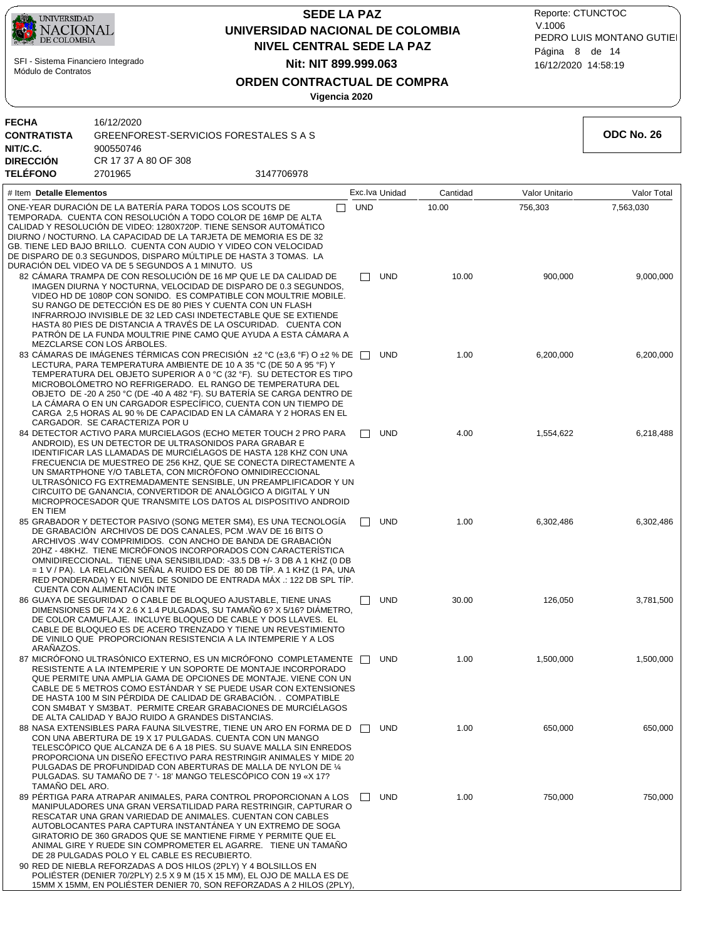

# **NIVEL CENTRAL SEDE LA PAZ SEDE LA PAZ UNIVERSIDAD NACIONAL DE COLOMBIA Nit: NIT 899.999.063**

16/12/2020 14:58:19 PEDRO LUIS MONTANO GUTIEI Reporte: CTUNCTOC V.1006 Página 8 de 14

**ODC No. 26**

## **ORDEN CONTRACTUAL DE COMPRA**

| FECHA           | 16/12/2020                             |            |
|-----------------|----------------------------------------|------------|
| CONTRATISTA     | GREENFOREST-SERVICIOS FORESTALES S A S |            |
| NIT/C.C.        | 900550746                              |            |
| DIRECCIÓN       | CR 17 37 A 80 OF 308                   |            |
| <b>TELÉFONO</b> | 2701965                                | 3147706978 |

|                                                                                                                                                                                                                                                                                                                                                                                                                                                                                                                                                                                                                                                                                | 0 . 1 . 1 . 0 . 0 . 0 |            |                |          |                |             |
|--------------------------------------------------------------------------------------------------------------------------------------------------------------------------------------------------------------------------------------------------------------------------------------------------------------------------------------------------------------------------------------------------------------------------------------------------------------------------------------------------------------------------------------------------------------------------------------------------------------------------------------------------------------------------------|-----------------------|------------|----------------|----------|----------------|-------------|
| # Item Detalle Elementos                                                                                                                                                                                                                                                                                                                                                                                                                                                                                                                                                                                                                                                       |                       |            | Exc.Iva Unidad | Cantidad | Valor Unitario | Valor Total |
| ONE-YEAR DURACIÓN DE LA BATERÍA PARA TODOS LOS SCOUTS DE<br>TEMPORADA. CUENTA CON RESOLUCIÓN A TODO COLOR DE 16MP DE ALTA<br>CALIDAD Y RESOLUCION DE VIDEO: 1280X720P. TIENE SENSOR AUTOMATICO<br>DIURNO / NOCTURNO. LA CAPACIDAD DE LA TARJETA DE MEMORIA ES DE 32<br>GB. TIENE LED BAJO BRILLO. CUENTA CON AUDIO Y VIDEO CON VELOCIDAD<br>DE DISPARO DE 0.3 SEGUNDOS, DISPARO MÚLTIPLE DE HASTA 3 TOMAS. LA<br>DURACIÓN DEL VIDEO VA DE 5 SEGUNDOS A 1 MINUTO. US                                                                                                                                                                                                            |                       | <b>UND</b> |                | 10.00    | 756,303        | 7,563,030   |
| 82 CÁMARA TRAMPA DE CON RESOLUCIÓN DE 16 MP QUE LE DA CALIDAD DE<br>IMAGEN DIURNA Y NOCTURNA, VELOCIDAD DE DISPARO DE 0.3 SEGUNDOS,<br>VIDEO HD DE 1080P CON SONIDO. ES COMPATIBLE CON MOULTRIE MOBILE.<br>SU RANGO DE DETECCIÓN ES DE 80 PIES Y CUENTA CON UN FLASH<br>INFRARROJO INVISIBLE DE 32 LED CASI INDETECTABLE QUE SE EXTIENDE<br>HASTA 80 PIES DE DISTANCIA A TRAVÉS DE LA OSCURIDAD. CUENTA CON<br>PATRÓN DE LA FUNDA MOULTRIE PINE CAMO QUE AYUDA A ESTA CÁMARA A<br>MEZCLARSE CON LOS ARBOLES.                                                                                                                                                                   |                       | $\Box$     | <b>UND</b>     | 10.00    | 900,000        | 9,000,000   |
| 83 CÁMARAS DE IMÁGENES TÉRMICAS CON PRECISIÓN ±2 °C (±3,6 °F) O ±2 % DE □<br>LECTURA, PARA TEMPERATURA AMBIENTE DE 10 A 35 °C (DE 50 A 95 °F) Y<br>TEMPERATURA DEL OBJETO SUPERIOR A 0 °C (32 °F). SU DETECTOR ES TIPO<br>MICROBOLOMETRO NO REFRIGERADO. EL RANGO DE TEMPERATURA DEL<br>OBJETO DE -20 A 250 °C (DE -40 A 482 °F). SU BATERÍA SE CARGA DENTRO DE<br>LA CÁMARA O EN UN CARGADOR ESPECÍFICO, CUENTA CON UN TIEMPO DE<br>CARGA 2.5 HORAS AL 90 % DE CAPACIDAD EN LA CÁMARA Y 2 HORAS EN EL<br>CARGADOR. SE CARACTERIZA POR U                                                                                                                                       |                       |            | <b>UND</b>     | 1.00     | 6,200,000      | 6,200,000   |
| 84 DETECTOR ACTIVO PARA MURCIELAGOS (ECHO METER TOUCH 2 PRO PARA<br>ANDROID), ES UN DETECTOR DE ULTRASONIDOS PARA GRABAR E<br>IDENTIFICAR LAS LLAMADAS DE MURCIELAGOS DE HASTA 128 KHZ CON UNA<br>FRECUENCIA DE MUESTREO DE 256 KHZ, QUE SE CONECTA DIRECTAMENTE A<br>UN SMARTPHONE Y/O TABLETA, CON MICROFONO OMNIDIRECCIONAL<br>ULTRASÓNICO FG EXTREMADAMENTE SENSIBLE. UN PREAMPLIFICADOR Y UN<br>CIRCUITO DE GANANCIA, CONVERTIDOR DE ANALOGICO A DIGITAL Y UN<br>MICROPROCESADOR QUE TRANSMITE LOS DATOS AL DISPOSITIVO ANDROID<br>EN TIEM                                                                                                                                |                       |            | <b>UND</b>     | 4.00     | 1,554,622      | 6,218,488   |
| 85 GRABADOR Y DETECTOR PASIVO (SONG METER SM4), ES UNA TECNOLOGIA<br>DE GRABACIÓN ARCHIVOS DE DOS CANALES, PCM WAV DE 16 BITS O<br>ARCHIVOS W4V COMPRIMIDOS. CON ANCHO DE BANDA DE GRABACION<br>20HZ - 48KHZ. TIENE MICRÓFONOS INCORPORADOS CON CARACTERÍSTICA<br>OMNIDIRECCIONAL. TIENE UNA SENSIBILIDAD: -33.5 DB +/- 3 DB A 1 KHZ (0 DB<br>$=$ 1 V / PA). LA RELACIÓN SEÑAL A RUIDO ES DE $\,$ 80 DB TIP. A 1 KHZ (1 PA, UNA<br>RED PONDERADA) Y EL NIVEL DE SONIDO DE ENTRADA MAX .: 122 DB SPL TIP.<br><b>CUENTA CON ALIMENTACION INTE</b>                                                                                                                                |                       |            | <b>UND</b>     | 1.00     | 6,302,486      | 6,302,486   |
| 86 GUAYA DE SEGURIDAD O CABLE DE BLOQUEO AJUSTABLE, TIENE UNAS<br>DIMENSIONES DE 74 X 2.6 X 1.4 PULGADAS, SU TAMAÑO 6? X 5/16? DIÁMETRO,<br>DE COLOR CAMUFLAJE. INCLUYE BLOQUEO DE CABLE Y DOS LLAVES. EL<br>CABLE DE BLOQUEO ES DE ACERO TRENZADO Y TIENE UN REVESTIMIENTO<br>DE VINILO QUE PROPORCIONAN RESISTENCIA A LA INTEMPERIE Y A LOS<br>ARAÑAZOS.                                                                                                                                                                                                                                                                                                                     |                       |            | <b>UND</b>     | 30.00    | 126,050        | 3,781,500   |
| 87 MICRÓFONO ULTRASÓNICO EXTERNO, ES UN MICRÓFONO COMPLETAMENTE<br>RESISTENTE A LA INTEMPERIE Y UN SOPORTE DE MONTAJE INCORPORADO<br>QUE PERMITE UNA AMPLIA GAMA DE OPCIONES DE MONTAJE. VIENE CON UN<br>CABLE DE 5 METROS COMO ESTÁNDAR Y SE PUEDE USAR CON EXTENSIONES<br>DE HASTA 100 M SIN PÉRDIDA DE CALIDAD DE GRABACIÓN. . COMPATIBLE<br>CON SM4BAT Y SM3BAT. PERMITE CREAR GRABACIONES DE MURCIÉLAGOS<br>DE ALTA CALIDAD Y BAJO RUIDO A GRANDES DISTANCIAS.                                                                                                                                                                                                            |                       |            | <b>UND</b>     | 1.00     | 1,500,000      | 1,500,000   |
| 88 NASA EXTENSIBLES PARA FAUNA SILVESTRE, TIENE UN ARO EN FORMA DE D<br>CON UNA ABERTURA DE 19 X 17 PULGADAS. CUENTA CON UN MANGO<br>TELESCÓPICO QUE ALCANZA DE 6 A 18 PIES. SU SUAVE MALLA SIN ENREDOS<br>PROPORCIONA UN DISEÑO EFECTIVO PARA RESTRINGIR ANIMALES Y MIDE 20<br>PULGADAS DE PROFUNDIDAD CON ABERTURAS DE MALLA DE NYLON DE 1/4<br>PULGADAS. SU TAMAÑO DE 7 '- 18' MANGO TELESCÓPICO CON 19 «X 17?<br>TAMAÑO DEL ARO.                                                                                                                                                                                                                                           |                       |            | <b>UND</b>     | 1.00     | 650.000        | 650,000     |
| 89 PÉRTIGA PARA ATRAPAR ANIMALES, PARA CONTROL PROPORCIONAN A LOS<br>MANIPULADORES UNA GRAN VERSATILIDAD PARA RESTRINGIR, CAPTURAR O<br>RESCATAR UNA GRAN VARIEDAD DE ANIMALES. CUENTAN CON CABLES<br>AUTOBLOCANTES PARA CAPTURA INSTANTANEA Y UN EXTREMO DE SOGA<br>GIRATORIO DE 360 GRADOS QUE SE MANTIENE FIRME Y PERMITE QUE EL<br>ANIMAL GIRE Y RUEDE SIN COMPROMETER EL AGARRE. TIENE UN TAMANO<br>DE 28 PULGADAS POLO Y EL CABLE ES RECUBIERTO.<br>90 RED DE NIEBLA REFORZADAS A DOS HILOS (2PLY) Y 4 BOLSILLOS EN<br>POLIESTER (DENIER 70/2PLY) 2.5 X 9 M (15 X 15 MM), EL OJO DE MALLA ES DE<br>15MM X 15MM, EN POLIÉSTER DENIER 70, SON REFORZADAS A 2 HILOS (2PLY), |                       | $\perp$    | <b>UND</b>     | 1.00     | 750,000        | 750,000     |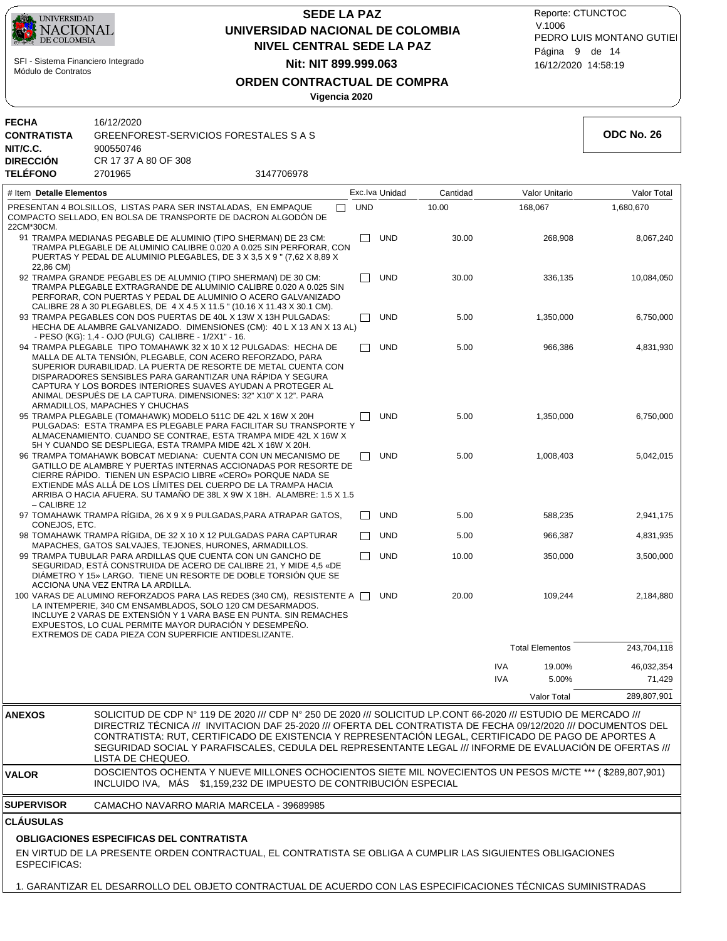

 $\frac{\text{\#}}{\text{\#}}$ 

 SFI - Sistema Financiero Integrado Módulo de Contratos

# **NIVEL CENTRAL SEDE LA PAZ SEDE LA PAZ UNIVERSIDAD NACIONAL DE COLOMBIA Nit: NIT 899.999.063**

16/12/2020 14:58:19 PEDRO LUIS MONTANO GUTIEI Reporte: CTUNCTOC V.1006 Página 9 de 14

## **ORDEN CONTRACTUAL DE COMPRA**

**Vigencia 2020**

| FECHA       | 16/12/2020                             |            |
|-------------|----------------------------------------|------------|
| CONTRATISTA | GREENFOREST-SERVICIOS FORESTALES S A S |            |
| NIT/C.C.    | 900550746                              |            |
| DIRECCIÓN   | CR 17 37 A 80 OF 308                   |            |
| TELÉFONO    | 2701965                                | 3147706978 |

| PRESENTAN 4 BOLSILLOS, LISTAS PARA SER INSTALADAS, EN EMPAQUE<br>П<br>COMPACTO SELLADO, EN BOLSA DE TRANSPORTE DE DACRON ALGODON DE<br>22CM*30CM.                                                                                                                                                                                                                                                                                  | <b>UND</b>     |            |       |            |                        |             |
|------------------------------------------------------------------------------------------------------------------------------------------------------------------------------------------------------------------------------------------------------------------------------------------------------------------------------------------------------------------------------------------------------------------------------------|----------------|------------|-------|------------|------------------------|-------------|
|                                                                                                                                                                                                                                                                                                                                                                                                                                    |                |            | 10.00 |            | 168,067                | 1,680,670   |
| 91 TRAMPA MEDIANAS PEGABLE DE ALUMINIO (TIPO SHERMAN) DE 23 CM:<br>TRAMPA PLEGABLE DE ALUMINIO CALIBRE 0.020 A 0.025 SIN PERFORAR, CON<br>PUERTAS Y PEDAL DE ALUMINIO PLEGABLES, DE 3 X 3,5 X 9 " (7,62 X 8,89 X<br>22,86 CM)                                                                                                                                                                                                      | П              | <b>UND</b> | 30.00 |            | 268,908                | 8,067,240   |
| 92 TRAMPA GRANDE PEGABLES DE ALUMNIO (TIPO SHERMAN) DE 30 CM:<br>TRAMPA PLEGABLE EXTRAGRANDE DE ALUMINIO CALIBRE 0.020 A 0.025 SIN<br>PERFORAR, CON PUERTAS Y PEDAL DE ALUMINIO O ACERO GALVANIZADO<br>CALIBRE 28 A 30 PLEGABLES, DE 4 X 4.5 X 11.5 " (10.16 X 11.43 X 30.1 CM).                                                                                                                                                   | $\blacksquare$ | <b>UND</b> | 30.00 |            | 336,135                | 10,084,050  |
| 93 TRAMPA PEGABLES CON DOS PUERTAS DE 40L X 13W X 13H PULGADAS:<br>HECHA DE ALAMBRE GALVANIZADO. DIMENSIONES (CM): 40 L X 13 AN X 13 AL)<br>- PESO (KG): 1,4 - OJO (PULG) CALIBRE - 1/2X1" - 16.                                                                                                                                                                                                                                   | $\Box$         | <b>UND</b> | 5.00  |            | 1,350,000              | 6,750,000   |
| 94 TRAMPA PLEGABLE TIPO TOMAHAWK 32 X 10 X 12 PULGADAS: HECHA DE<br>MALLA DE ALTA TENSIÓN, PLEGABLE, CON ACERO REFORZADO, PARA<br>SUPERIOR DURABILIDAD. LA PUERTA DE RESORTE DE METAL CUENTA CON<br>DISPARADORES SENSIBLES PARA GARANTIZAR UNA RAPIDA Y SEGURA<br>CAPTURA Y LOS BORDES INTERIORES SUAVES AYUDAN A PROTEGER AL<br>ANIMAL DESPUES DE LA CAPTURA. DIMENSIONES: 32" X10" X 12". PARA<br>ARMADILLOS, MAPACHES Y CHUCHAS | ĪΙ             | <b>UND</b> | 5.00  |            | 966,386                | 4,831,930   |
| 95 TRAMPA PLEGABLE (TOMAHAWK) MODELO 511C DE 42L X 16W X 20H<br>PULGADAS: ESTA TRAMPA ES PLEGABLE PARA FACILITAR SU TRANSPORTE Y<br>ALMACENAMIENTO. CUANDO SE CONTRAE, ESTA TRAMPA MIDE 42L X 16W X<br>5H Y CUANDO SE DESPLIEGA, ESTA TRAMPA MIDE 42L X 16W X 20H.                                                                                                                                                                 |                | <b>UND</b> | 5.00  |            | 1,350,000              | 6,750,000   |
| 96 TRAMPA TOMAHAWK BOBCAT MEDIANA: CUENTA CON UN MECANISMO DE<br>GATILLO DE ALAMBRE Y PUERTAS INTERNAS ACCIONADAS POR RESORTE DE<br>CIERRE RÁPIDO. TIENEN UN ESPACIO LIBRE «CERO» PORQUE NADA SE<br>EXTIENDE MÁS ALLA DE LOS LIMITES DEL CUERPO DE LA TRAMPA HACIA<br>ARRIBA O HACIA AFUERA. SU TAMAÑO DE 38L X 9W X 18H. ALAMBRE: 1.5 X 1.5<br>- CALIBRE 12                                                                       | H              | <b>UND</b> | 5.00  |            | 1,008,403              | 5,042,015   |
| 97 TOMAHAWK TRAMPA RIGIDA, 26 X 9 X 9 PULGADAS,PARA ATRAPAR GATOS,<br>CONEJOS, ETC.                                                                                                                                                                                                                                                                                                                                                | П              | <b>UND</b> | 5.00  |            | 588,235                | 2,941,175   |
| 98 TOMAHAWK TRAMPA RIGIDA, DE 32 X 10 X 12 PULGADAS PARA CAPTURAR<br>MAPACHES, GATOS SALVAJES, TEJONES, HURONES, ARMADILLOS.                                                                                                                                                                                                                                                                                                       |                | <b>UND</b> | 5.00  |            | 966,387                | 4,831,935   |
| 99 TRAMPA TUBULAR PARA ARDILLAS QUE CUENTA CON UN GANCHO DE<br>SEGURIDAD, ESTÁ CONSTRUIDA DE ACERO DE CALIBRE 21, Y MIDE 4,5 «DE<br>DIAMETRO Y 15» LARGO. TIENE UN RESORTE DE DOBLE TORSION QUE SE<br>ACCIONA UNA VEZ ENTRA LA ARDILLA.                                                                                                                                                                                            | ΓI             | <b>UND</b> | 10.00 |            | 350,000                | 3,500,000   |
| 100 VARAS DE ALUMINO REFORZADOS PARA LAS REDES (340 CM), RESISTENTE A □<br>LA INTEMPERIE, 340 CM ENSAMBLADOS, SOLO 120 CM DESARMADOS.<br>INCLUYE 2 VARAS DE EXTENSIÓN Y 1 VARA BASE EN PUNTA. SIN REMACHES<br>EXPUESTOS, LO CUAL PERMITE MAYOR DURACIÓN Y DESEMPENO.<br>EXTREMOS DE CADA PIEZA CON SUPERFICIE ANTIDESLIZANTE.                                                                                                      |                | <b>UND</b> | 20.00 |            | 109,244                | 2,184,880   |
|                                                                                                                                                                                                                                                                                                                                                                                                                                    |                |            |       |            | <b>Total Elementos</b> | 243,704,118 |
|                                                                                                                                                                                                                                                                                                                                                                                                                                    |                |            |       | <b>IVA</b> | 19.00%                 | 46,032,354  |
|                                                                                                                                                                                                                                                                                                                                                                                                                                    |                |            |       | <b>IVA</b> | 5.00%                  | 71,429      |
|                                                                                                                                                                                                                                                                                                                                                                                                                                    |                |            |       |            | Valor Total            | 289,807,901 |

**ANEXOS** SOLICITUD DE CDP N° 119 DE 2020 /// CDP N° 250 DE 2020 /// SOLICITUD LP.CONT 66-2020 /// ESTUDIO DE MERCADO /// DIRECTRIZ TÉCNICA /// INVITACION DAF 25-2020 /// OFERTA DEL CONTRATISTA DE FECHA 09/12/2020 /// DOCUMENTOS DEL CONTRATISTA: RUT, CERTIFICADO DE EXISTENCIA Y REPRESENTACIÓN LEGAL, CERTIFICADO DE PAGO DE APORTES A SEGURIDAD SOCIAL Y PARAFISCALES, CEDULA DEL REPRESENTANTE LEGAL /// INFORME DE EVALUACIÓN DE OFERTAS /// LISTA DE CHEQUEO. DOSCIENTOS OCHENTA Y NUEVE MILLONES OCHOCIENTOS SIETE MIL NOVECIENTOS UN PESOS M/CTE \*\*\* ( \$289,807,901)

**VALOR** INCLUIDO IVA, MÁS \$1,159,232 DE IMPUESTO DE CONTRIBUCIÓN ESPECIAL

CAMACHO NAVARRO MARIA MARCELA - 39689985 **SUPERVISOR**

**CLÁUSULAS**

### **OBLIGACIONES ESPECIFICAS DEL CONTRATISTA**

EN VIRTUD DE LA PRESENTE ORDEN CONTRACTUAL, EL CONTRATISTA SE OBLIGA A CUMPLIR LAS SIGUIENTES OBLIGACIONES ESPECIFICAS:

1. GARANTIZAR EL DESARROLLO DEL OBJETO CONTRACTUAL DE ACUERDO CON LAS ESPECIFICACIONES TÉCNICAS SUMINISTRADAS

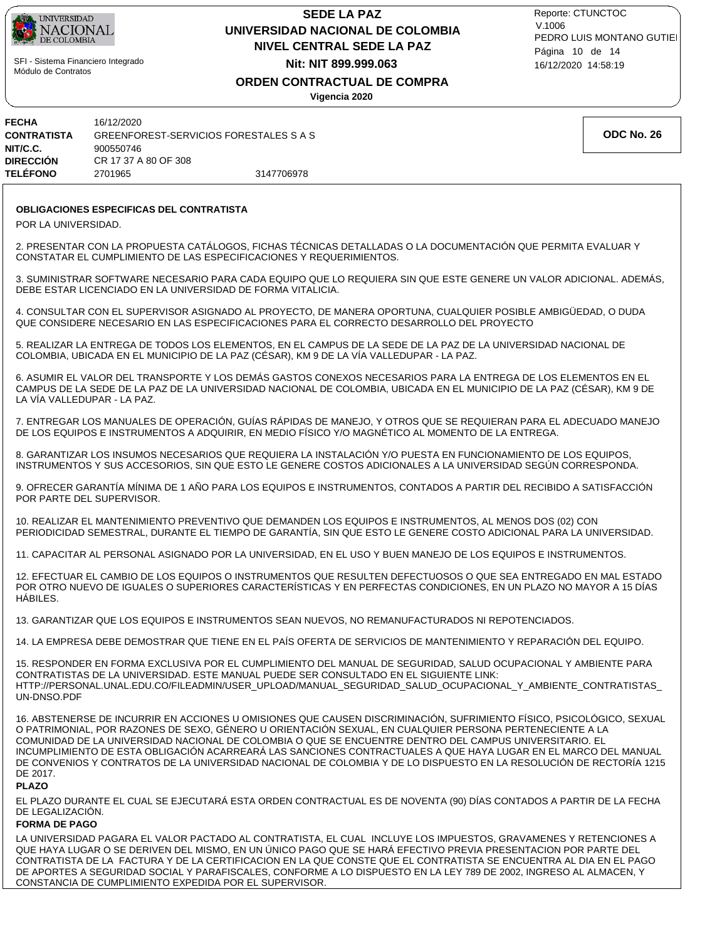

## **NIVEL CENTRAL SEDE LA PAZ SEDE LA PAZ UNIVERSIDAD NACIONAL DE COLOMBIA Nit: NIT 899.999.063**

16/12/2020 14:58:19 PEDRO LUIS MONTANO GUTIEI Reporte: CTUNCTOC V.1006 Página 10 de 14

# **ORDEN CONTRACTUAL DE COMPRA**

**Vigencia 2020**

| <b>FECHA</b><br><b>CONTRATISTA</b> | 16/12/2020<br>GREENFOREST-SERVICIOS FORESTALES S A S |            |
|------------------------------------|------------------------------------------------------|------------|
| NIT/C.C.                           | 900550746                                            |            |
| <b>DIRECCIÓN</b>                   | CR 17 37 A 80 OF 308                                 |            |
| <b>TELÉFONO</b>                    | 2701965                                              | 3147706978 |

#### **OBLIGACIONES ESPECIFICAS DEL CONTRATISTA**

POR LA UNIVERSIDAD.

2. PRESENTAR CON LA PROPUESTA CATÁLOGOS, FICHAS TÉCNICAS DETALLADAS O LA DOCUMENTACIÓN QUE PERMITA EVALUAR Y CONSTATAR EL CUMPLIMIENTO DE LAS ESPECIFICACIONES Y REQUERIMIENTOS.

3. SUMINISTRAR SOFTWARE NECESARIO PARA CADA EQUIPO QUE LO REQUIERA SIN QUE ESTE GENERE UN VALOR ADICIONAL. ADEMÁS, DEBE ESTAR LICENCIADO EN LA UNIVERSIDAD DE FORMA VITALICIA.

4. CONSULTAR CON EL SUPERVISOR ASIGNADO AL PROYECTO, DE MANERA OPORTUNA, CUALQUIER POSIBLE AMBIGÜEDAD, O DUDA QUE CONSIDERE NECESARIO EN LAS ESPECIFICACIONES PARA EL CORRECTO DESARROLLO DEL PROYECTO

5. REALIZAR LA ENTREGA DE TODOS LOS ELEMENTOS, EN EL CAMPUS DE LA SEDE DE LA PAZ DE LA UNIVERSIDAD NACIONAL DE COLOMBIA, UBICADA EN EL MUNICIPIO DE LA PAZ (CÉSAR), KM 9 DE LA VÍA VALLEDUPAR - LA PAZ.

6. ASUMIR EL VALOR DEL TRANSPORTE Y LOS DEMÁS GASTOS CONEXOS NECESARIOS PARA LA ENTREGA DE LOS ELEMENTOS EN EL CAMPUS DE LA SEDE DE LA PAZ DE LA UNIVERSIDAD NACIONAL DE COLOMBIA, UBICADA EN EL MUNICIPIO DE LA PAZ (CÉSAR), KM 9 DE LA VÍA VALLEDUPAR - LA PAZ.

7. ENTREGAR LOS MANUALES DE OPERACIÓN, GUÍAS RÁPIDAS DE MANEJO, Y OTROS QUE SE REQUIERAN PARA EL ADECUADO MANEJO DE LOS EQUIPOS E INSTRUMENTOS A ADQUIRIR, EN MEDIO FÍSICO Y/O MAGNÉTICO AL MOMENTO DE LA ENTREGA.

8. GARANTIZAR LOS INSUMOS NECESARIOS QUE REQUIERA LA INSTALACIÓN Y/O PUESTA EN FUNCIONAMIENTO DE LOS EQUIPOS, INSTRUMENTOS Y SUS ACCESORIOS, SIN QUE ESTO LE GENERE COSTOS ADICIONALES A LA UNIVERSIDAD SEGÚN CORRESPONDA.

9. OFRECER GARANTÍA MÍNIMA DE 1 AÑO PARA LOS EQUIPOS E INSTRUMENTOS, CONTADOS A PARTIR DEL RECIBIDO A SATISFACCIÓN POR PARTE DEL SUPERVISOR.

10. REALIZAR EL MANTENIMIENTO PREVENTIVO QUE DEMANDEN LOS EQUIPOS E INSTRUMENTOS, AL MENOS DOS (02) CON PERIODICIDAD SEMESTRAL, DURANTE EL TIEMPO DE GARANTÍA, SIN QUE ESTO LE GENERE COSTO ADICIONAL PARA LA UNIVERSIDAD.

11. CAPACITAR AL PERSONAL ASIGNADO POR LA UNIVERSIDAD, EN EL USO Y BUEN MANEJO DE LOS EQUIPOS E INSTRUMENTOS.

12. EFECTUAR EL CAMBIO DE LOS EQUIPOS O INSTRUMENTOS QUE RESULTEN DEFECTUOSOS O QUE SEA ENTREGADO EN MAL ESTADO POR OTRO NUEVO DE IGUALES O SUPERIORES CARACTERÍSTICAS Y EN PERFECTAS CONDICIONES, EN UN PLAZO NO MAYOR A 15 DÍAS HÁBILES.

13. GARANTIZAR QUE LOS EQUIPOS E INSTRUMENTOS SEAN NUEVOS, NO REMANUFACTURADOS NI REPOTENCIADOS.

14. LA EMPRESA DEBE DEMOSTRAR QUE TIENE EN EL PAÍS OFERTA DE SERVICIOS DE MANTENIMIENTO Y REPARACIÓN DEL EQUIPO.

15. RESPONDER EN FORMA EXCLUSIVA POR EL CUMPLIMIENTO DEL MANUAL DE SEGURIDAD, SALUD OCUPACIONAL Y AMBIENTE PARA CONTRATISTAS DE LA UNIVERSIDAD. ESTE MANUAL PUEDE SER CONSULTADO EN EL SIGUIENTE LINK: HTTP://PERSONAL.UNAL.EDU.CO/FILEADMIN/USER\_UPLOAD/MANUAL\_SEGURIDAD\_SALUD\_OCUPACIONAL\_Y\_AMBIENTE\_CONTRATISTAS\_ UN-DNSO.PDF

16. ABSTENERSE DE INCURRIR EN ACCIONES U OMISIONES QUE CAUSEN DISCRIMINACIÓN, SUFRIMIENTO FÍSICO, PSICOLÓGICO, SEXUAL O PATRIMONIAL, POR RAZONES DE SEXO, GÉNERO U ORIENTACIÓN SEXUAL, EN CUALQUIER PERSONA PERTENECIENTE A LA COMUNIDAD DE LA UNIVERSIDAD NACIONAL DE COLOMBIA O QUE SE ENCUENTRE DENTRO DEL CAMPUS UNIVERSITARIO. EL INCUMPLIMIENTO DE ESTA OBLIGACIÓN ACARREARÁ LAS SANCIONES CONTRACTUALES A QUE HAYA LUGAR EN EL MARCO DEL MANUAL DE CONVENIOS Y CONTRATOS DE LA UNIVERSIDAD NACIONAL DE COLOMBIA Y DE LO DISPUESTO EN LA RESOLUCIÓN DE RECTORÍA 1215 DE 2017.

**PLAZO**

EL PLAZO DURANTE EL CUAL SE EJECUTARÁ ESTA ORDEN CONTRACTUAL ES DE NOVENTA (90) DÍAS CONTADOS A PARTIR DE LA FECHA DE LEGALIZACIÓN.

#### **FORMA DE PAGO**

LA UNIVERSIDAD PAGARA EL VALOR PACTADO AL CONTRATISTA, EL CUAL INCLUYE LOS IMPUESTOS, GRAVAMENES Y RETENCIONES A QUE HAYA LUGAR O SE DERIVEN DEL MISMO, EN UN ÚNICO PAGO QUE SE HARÁ EFECTIVO PREVIA PRESENTACION POR PARTE DEL CONTRATISTA DE LA FACTURA Y DE LA CERTIFICACION EN LA QUE CONSTE QUE EL CONTRATISTA SE ENCUENTRA AL DIA EN EL PAGO DE APORTES A SEGURIDAD SOCIAL Y PARAFISCALES, CONFORME A LO DISPUESTO EN LA LEY 789 DE 2002, INGRESO AL ALMACEN, Y CONSTANCIA DE CUMPLIMIENTO EXPEDIDA POR EL SUPERVISOR.

**ODC No. 26**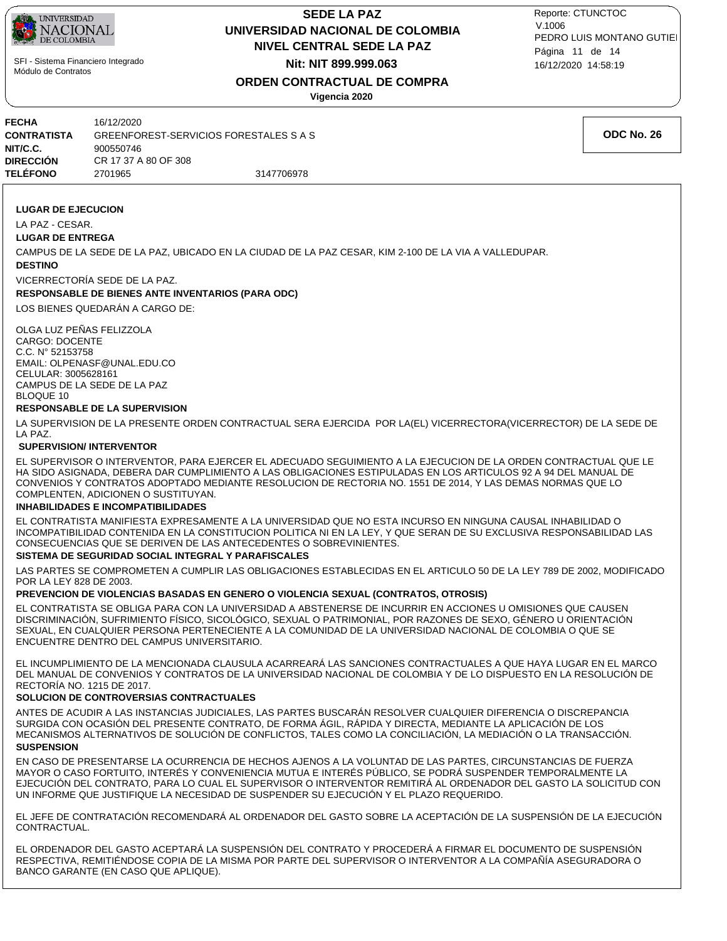

## **NIVEL CENTRAL SEDE LA PAZ SEDE LA PAZ UNIVERSIDAD NACIONAL DE COLOMBIA Nit: NIT 899.999.063**

16/12/2020 14:58:19 PEDRO LUIS MONTANO GUTIEI Reporte: CTUNCTOC V.1006 Página 11 de 14

## **ORDEN CONTRACTUAL DE COMPRA**

**Vigencia 2020**

| FECHA       | 16/12/2020                             |            |
|-------------|----------------------------------------|------------|
|             | GREENFOREST-SERVICIOS FORESTALES S A S |            |
| CONTRATISTA |                                        |            |
| NIT/C.C.    | 900550746                              |            |
| DIRECCIÓN   | CR 17 37 A 80 OF 308                   |            |
| TELÉFONO    | 2701965                                | 3147706978 |

#### **LUGAR DE EJECUCION**

**LUGAR DE ENTREGA** LA PAZ - CESAR.

CAMPUS DE LA SEDE DE LA PAZ, UBICADO EN LA CIUDAD DE LA PAZ CESAR, KIM 2-100 DE LA VIA A VALLEDUPAR.

#### **DESTINO**

VICERRECTORÍA SEDE DE LA PAZ.

#### **RESPONSABLE DE BIENES ANTE INVENTARIOS (PARA ODC)**

LOS BIENES QUEDARÁN A CARGO DE:

OLGA LUZ PEÑAS FELIZZOLA CARGO: DOCENTE C.C. N° 52153758 EMAIL: OLPENASF@UNAL.EDU.CO CELULAR: 3005628161 CAMPUS DE LA SEDE DE LA PAZ BLOQUE 10

#### **RESPONSABLE DE LA SUPERVISION**

LA SUPERVISION DE LA PRESENTE ORDEN CONTRACTUAL SERA EJERCIDA POR LA(EL) VICERRECTORA(VICERRECTOR) DE LA SEDE DE LA PAZ.

#### **SUPERVISION/ INTERVENTOR**

EL SUPERVISOR O INTERVENTOR, PARA EJERCER EL ADECUADO SEGUIMIENTO A LA EJECUCION DE LA ORDEN CONTRACTUAL QUE LE HA SIDO ASIGNADA, DEBERA DAR CUMPLIMIENTO A LAS OBLIGACIONES ESTIPULADAS EN LOS ARTICULOS 92 A 94 DEL MANUAL DE CONVENIOS Y CONTRATOS ADOPTADO MEDIANTE RESOLUCION DE RECTORIA NO. 1551 DE 2014, Y LAS DEMAS NORMAS QUE LO COMPLENTEN, ADICIONEN O SUSTITUYAN.

#### **INHABILIDADES E INCOMPATIBILIDADES**

EL CONTRATISTA MANIFIESTA EXPRESAMENTE A LA UNIVERSIDAD QUE NO ESTA INCURSO EN NINGUNA CAUSAL INHABILIDAD O INCOMPATIBILIDAD CONTENIDA EN LA CONSTITUCION POLITICA NI EN LA LEY, Y QUE SERAN DE SU EXCLUSIVA RESPONSABILIDAD LAS CONSECUENCIAS QUE SE DERIVEN DE LAS ANTECEDENTES O SOBREVINIENTES.

#### **SISTEMA DE SEGURIDAD SOCIAL INTEGRAL Y PARAFISCALES**

LAS PARTES SE COMPROMETEN A CUMPLIR LAS OBLIGACIONES ESTABLECIDAS EN EL ARTICULO 50 DE LA LEY 789 DE 2002, MODIFICADO POR LA LEY 828 DE 2003.

#### **PREVENCION DE VIOLENCIAS BASADAS EN GENERO O VIOLENCIA SEXUAL (CONTRATOS, OTROSIS)**

EL CONTRATISTA SE OBLIGA PARA CON LA UNIVERSIDAD A ABSTENERSE DE INCURRIR EN ACCIONES U OMISIONES QUE CAUSEN DISCRIMINACIÓN, SUFRIMIENTO FÍSICO, SICOLÓGICO, SEXUAL O PATRIMONIAL, POR RAZONES DE SEXO, GÉNERO U ORIENTACIÓN SEXUAL, EN CUALQUIER PERSONA PERTENECIENTE A LA COMUNIDAD DE LA UNIVERSIDAD NACIONAL DE COLOMBIA O QUE SE ENCUENTRE DENTRO DEL CAMPUS UNIVERSITARIO.

EL INCUMPLIMIENTO DE LA MENCIONADA CLAUSULA ACARREARÁ LAS SANCIONES CONTRACTUALES A QUE HAYA LUGAR EN EL MARCO DEL MANUAL DE CONVENIOS Y CONTRATOS DE LA UNIVERSIDAD NACIONAL DE COLOMBIA Y DE LO DISPUESTO EN LA RESOLUCIÓN DE RECTORÍA NO. 1215 DE 2017.

#### **SOLUCION DE CONTROVERSIAS CONTRACTUALES**

ANTES DE ACUDIR A LAS INSTANCIAS JUDICIALES, LAS PARTES BUSCARÁN RESOLVER CUALQUIER DIFERENCIA O DISCREPANCIA SURGIDA CON OCASIÓN DEL PRESENTE CONTRATO, DE FORMA ÁGIL, RÁPIDA Y DIRECTA, MEDIANTE LA APLICACIÓN DE LOS MECANISMOS ALTERNATIVOS DE SOLUCIÓN DE CONFLICTOS, TALES COMO LA CONCILIACIÓN, LA MEDIACIÓN O LA TRANSACCIÓN.

### **SUSPENSION**

EN CASO DE PRESENTARSE LA OCURRENCIA DE HECHOS AJENOS A LA VOLUNTAD DE LAS PARTES, CIRCUNSTANCIAS DE FUERZA MAYOR O CASO FORTUITO, INTERÉS Y CONVENIENCIA MUTUA E INTERÉS PÚBLICO, SE PODRÁ SUSPENDER TEMPORALMENTE LA EJECUCIÓN DEL CONTRATO, PARA LO CUAL EL SUPERVISOR O INTERVENTOR REMITIRÁ AL ORDENADOR DEL GASTO LA SOLICITUD CON UN INFORME QUE JUSTIFIQUE LA NECESIDAD DE SUSPENDER SU EJECUCIÓN Y EL PLAZO REQUERIDO.

EL JEFE DE CONTRATACIÓN RECOMENDARÁ AL ORDENADOR DEL GASTO SOBRE LA ACEPTACIÓN DE LA SUSPENSIÓN DE LA EJECUCIÓN CONTRACTUAL.

EL ORDENADOR DEL GASTO ACEPTARÁ LA SUSPENSIÓN DEL CONTRATO Y PROCEDERÁ A FIRMAR EL DOCUMENTO DE SUSPENSIÓN RESPECTIVA, REMITIÉNDOSE COPIA DE LA MISMA POR PARTE DEL SUPERVISOR O INTERVENTOR A LA COMPAÑÍA ASEGURADORA O BANCO GARANTE (EN CASO QUE APLIQUE).

**ODC No. 26**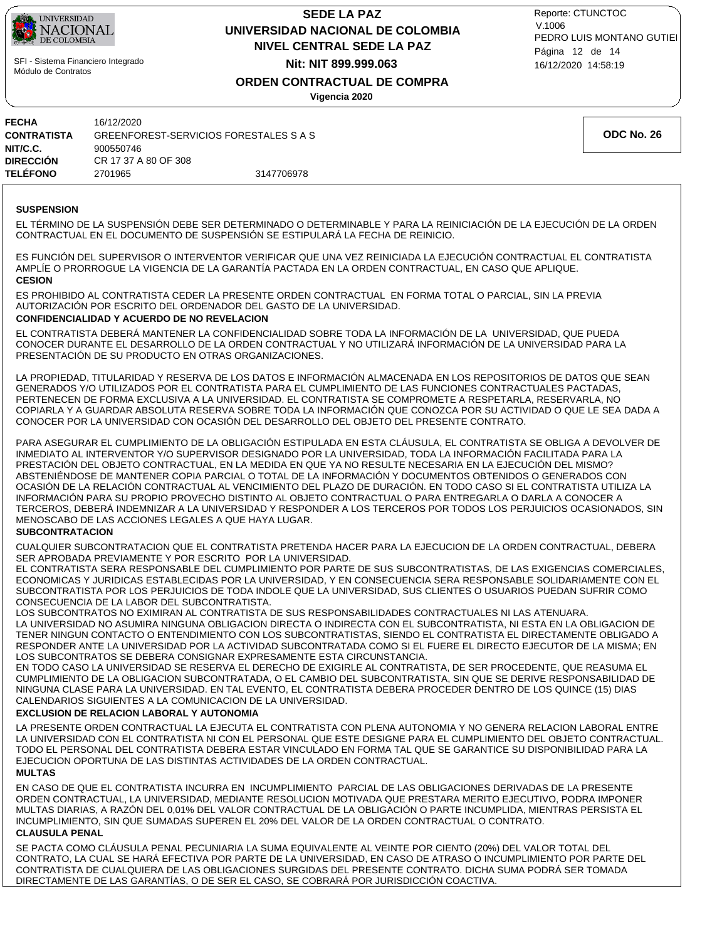

## **NIVEL CENTRAL SEDE LA PAZ SEDE LA PAZ UNIVERSIDAD NACIONAL DE COLOMBIA Nit: NIT 899.999.063**

16/12/2020 14:58:19 PEDRO LUIS MONTANO GUTIEI Reporte: CTUNCTOC V.1006 Página 12 de 14

**ORDEN CONTRACTUAL DE COMPRA**

**Vigencia 2020**

| <b>FECHA</b>       | 16/12/2020           |                                        |            |
|--------------------|----------------------|----------------------------------------|------------|
| <b>CONTRATISTA</b> |                      | GREENFOREST-SERVICIOS FORESTALES S A S | ODC No. 26 |
| NIT/C.C.           | 900550746            |                                        |            |
| <b>DIRECCION</b>   | CR 17 37 A 80 OF 308 |                                        |            |
| <b>TELÉFONO</b>    | 2701965              | 3147706978                             |            |
|                    |                      |                                        |            |

#### **SUSPENSION**

EL TÉRMINO DE LA SUSPENSIÓN DEBE SER DETERMINADO O DETERMINABLE Y PARA LA REINICIACIÓN DE LA EJECUCIÓN DE LA ORDEN CONTRACTUAL EN EL DOCUMENTO DE SUSPENSIÓN SE ESTIPULARÁ LA FECHA DE REINICIO.

**CESION**  ES FUNCIÓN DEL SUPERVISOR O INTERVENTOR VERIFICAR QUE UNA VEZ REINICIADA LA EJECUCIÓN CONTRACTUAL EL CONTRATISTA AMPLÍE O PRORROGUE LA VIGENCIA DE LA GARANTÍA PACTADA EN LA ORDEN CONTRACTUAL, EN CASO QUE APLIQUE.

ES PROHIBIDO AL CONTRATISTA CEDER LA PRESENTE ORDEN CONTRACTUAL EN FORMA TOTAL O PARCIAL, SIN LA PREVIA AUTORIZACIÓN POR ESCRITO DEL ORDENADOR DEL GASTO DE LA UNIVERSIDAD.

## **CONFIDENCIALIDAD Y ACUERDO DE NO REVELACION**

EL CONTRATISTA DEBERÁ MANTENER LA CONFIDENCIALIDAD SOBRE TODA LA INFORMACIÓN DE LA UNIVERSIDAD, QUE PUEDA CONOCER DURANTE EL DESARROLLO DE LA ORDEN CONTRACTUAL Y NO UTILIZARÁ INFORMACIÓN DE LA UNIVERSIDAD PARA LA PRESENTACIÓN DE SU PRODUCTO EN OTRAS ORGANIZACIONES.

LA PROPIEDAD, TITULARIDAD Y RESERVA DE LOS DATOS E INFORMACIÓN ALMACENADA EN LOS REPOSITORIOS DE DATOS QUE SEAN GENERADOS Y/O UTILIZADOS POR EL CONTRATISTA PARA EL CUMPLIMIENTO DE LAS FUNCIONES CONTRACTUALES PACTADAS, PERTENECEN DE FORMA EXCLUSIVA A LA UNIVERSIDAD. EL CONTRATISTA SE COMPROMETE A RESPETARLA, RESERVARLA, NO COPIARLA Y A GUARDAR ABSOLUTA RESERVA SOBRE TODA LA INFORMACIÓN QUE CONOZCA POR SU ACTIVIDAD O QUE LE SEA DADA A CONOCER POR LA UNIVERSIDAD CON OCASIÓN DEL DESARROLLO DEL OBJETO DEL PRESENTE CONTRATO.

PARA ASEGURAR EL CUMPLIMIENTO DE LA OBLIGACIÓN ESTIPULADA EN ESTA CLÁUSULA, EL CONTRATISTA SE OBLIGA A DEVOLVER DE INMEDIATO AL INTERVENTOR Y/O SUPERVISOR DESIGNADO POR LA UNIVERSIDAD, TODA LA INFORMACIÓN FACILITADA PARA LA PRESTACIÓN DEL OBJETO CONTRACTUAL, EN LA MEDIDA EN QUE YA NO RESULTE NECESARIA EN LA EJECUCIÓN DEL MISMO? ABSTENIÉNDOSE DE MANTENER COPIA PARCIAL O TOTAL DE LA INFORMACIÓN Y DOCUMENTOS OBTENIDOS O GENERADOS CON OCASIÓN DE LA RELACIÓN CONTRACTUAL AL VENCIMIENTO DEL PLAZO DE DURACIÓN. EN TODO CASO SI EL CONTRATISTA UTILIZA LA INFORMACIÓN PARA SU PROPIO PROVECHO DISTINTO AL OBJETO CONTRACTUAL O PARA ENTREGARLA O DARLA A CONOCER A TERCEROS, DEBERÁ INDEMNIZAR A LA UNIVERSIDAD Y RESPONDER A LOS TERCEROS POR TODOS LOS PERJUICIOS OCASIONADOS, SIN MENOSCABO DE LAS ACCIONES LEGALES A QUE HAYA LUGAR.

### **SUBCONTRATACION**

CUALQUIER SUBCONTRATACION QUE EL CONTRATISTA PRETENDA HACER PARA LA EJECUCION DE LA ORDEN CONTRACTUAL, DEBERA SER APROBADA PREVIAMENTE Y POR ESCRITO POR LA UNIVERSIDAD.

EL CONTRATISTA SERA RESPONSABLE DEL CUMPLIMIENTO POR PARTE DE SUS SUBCONTRATISTAS, DE LAS EXIGENCIAS COMERCIALES, ECONOMICAS Y JURIDICAS ESTABLECIDAS POR LA UNIVERSIDAD, Y EN CONSECUENCIA SERA RESPONSABLE SOLIDARIAMENTE CON EL SUBCONTRATISTA POR LOS PERJUICIOS DE TODA INDOLE QUE LA UNIVERSIDAD, SUS CLIENTES O USUARIOS PUEDAN SUFRIR COMO CONSECUENCIA DE LA LABOR DEL SUBCONTRATISTA.

LOS SUBCONTRATOS NO EXIMIRAN AL CONTRATISTA DE SUS RESPONSABILIDADES CONTRACTUALES NI LAS ATENUARA. LA UNIVERSIDAD NO ASUMIRA NINGUNA OBLIGACION DIRECTA O INDIRECTA CON EL SUBCONTRATISTA, NI ESTA EN LA OBLIGACION DE TENER NINGUN CONTACTO O ENTENDIMIENTO CON LOS SUBCONTRATISTAS, SIENDO EL CONTRATISTA EL DIRECTAMENTE OBLIGADO A RESPONDER ANTE LA UNIVERSIDAD POR LA ACTIVIDAD SUBCONTRATADA COMO SI EL FUERE EL DIRECTO EJECUTOR DE LA MISMA; EN LOS SUBCONTRATOS SE DEBERA CONSIGNAR EXPRESAMENTE ESTA CIRCUNSTANCIA.

EN TODO CASO LA UNIVERSIDAD SE RESERVA EL DERECHO DE EXIGIRLE AL CONTRATISTA, DE SER PROCEDENTE, QUE REASUMA EL CUMPLIMIENTO DE LA OBLIGACION SUBCONTRATADA, O EL CAMBIO DEL SUBCONTRATISTA, SIN QUE SE DERIVE RESPONSABILIDAD DE NINGUNA CLASE PARA LA UNIVERSIDAD. EN TAL EVENTO, EL CONTRATISTA DEBERA PROCEDER DENTRO DE LOS QUINCE (15) DIAS CALENDARIOS SIGUIENTES A LA COMUNICACION DE LA UNIVERSIDAD.

### **EXCLUSION DE RELACION LABORAL Y AUTONOMIA**

LA PRESENTE ORDEN CONTRACTUAL LA EJECUTA EL CONTRATISTA CON PLENA AUTONOMIA Y NO GENERA RELACION LABORAL ENTRE LA UNIVERSIDAD CON EL CONTRATISTA NI CON EL PERSONAL QUE ESTE DESIGNE PARA EL CUMPLIMIENTO DEL OBJETO CONTRACTUAL. TODO EL PERSONAL DEL CONTRATISTA DEBERA ESTAR VINCULADO EN FORMA TAL QUE SE GARANTICE SU DISPONIBILIDAD PARA LA EJECUCION OPORTUNA DE LAS DISTINTAS ACTIVIDADES DE LA ORDEN CONTRACTUAL.

## **MULTAS**

EN CASO DE QUE EL CONTRATISTA INCURRA EN INCUMPLIMIENTO PARCIAL DE LAS OBLIGACIONES DERIVADAS DE LA PRESENTE ORDEN CONTRACTUAL, LA UNIVERSIDAD, MEDIANTE RESOLUCION MOTIVADA QUE PRESTARA MERITO EJECUTIVO, PODRA IMPONER MULTAS DIARIAS, A RAZÓN DEL 0,01% DEL VALOR CONTRACTUAL DE LA OBLIGACIÓN O PARTE INCUMPLIDA, MIENTRAS PERSISTA EL INCUMPLIMIENTO, SIN QUE SUMADAS SUPEREN EL 20% DEL VALOR DE LA ORDEN CONTRACTUAL O CONTRATO.

### **CLAUSULA PENAL**

SE PACTA COMO CLÁUSULA PENAL PECUNIARIA LA SUMA EQUIVALENTE AL VEINTE POR CIENTO (20%) DEL VALOR TOTAL DEL CONTRATO, LA CUAL SE HARÁ EFECTIVA POR PARTE DE LA UNIVERSIDAD, EN CASO DE ATRASO O INCUMPLIMIENTO POR PARTE DEL CONTRATISTA DE CUALQUIERA DE LAS OBLIGACIONES SURGIDAS DEL PRESENTE CONTRATO. DICHA SUMA PODRÁ SER TOMADA DIRECTAMENTE DE LAS GARANTÍAS, O DE SER EL CASO, SE COBRARÁ POR JURISDICCIÓN COACTIVA.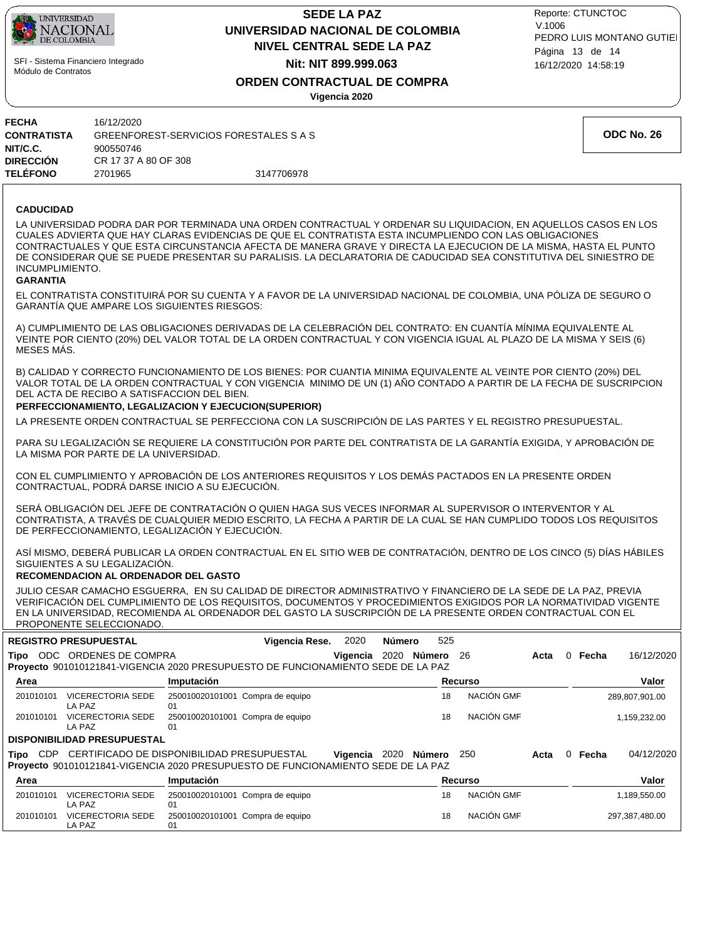

**FECHA** 16/12/2020

# **NIVEL CENTRAL SEDE LA PAZ SEDE LA PAZ UNIVERSIDAD NACIONAL DE COLOMBIA Nit: NIT 899.999.063**

16/12/2020 14:58:19 PEDRO LUIS MONTANO GUTIEI Reporte: CTUNCTOC V.1006 Página 13 de 14

Г

**ORDEN CONTRACTUAL DE COMPRA**

**Vigencia 2020**

| <b>CONTRATISTA</b>           | GREENFOREST-SERVICIOS FORESTALES S A S                |                                                                                                                      | ODC No. 26 |
|------------------------------|-------------------------------------------------------|----------------------------------------------------------------------------------------------------------------------|------------|
| NIT/C.C.<br><b>DIRECCIÓN</b> | 900550746<br>CR 17 37 A 80 OF 308                     |                                                                                                                      |            |
| <b>TELÉFONO</b>              | 2701965                                               | 3147706978                                                                                                           |            |
|                              |                                                       |                                                                                                                      |            |
|                              |                                                       |                                                                                                                      |            |
| <b>CADUCIDAD</b>             |                                                       |                                                                                                                      |            |
|                              |                                                       | LA UNIVERSIDAD PODRA DAR POR TERMINADA UNA ORDEN CONTRACTUAL Y ORDENAR SU LIQUIDACION, EN AQUELLOS CASOS EN LOS      |            |
|                              |                                                       | CUALES ADVIERTA QUE HAY CLARAS EVIDENCIAS DE QUE EL CONTRATISTA ESTA INCUMPLIENDO CON LAS OBLIGACIONES               |            |
|                              |                                                       | CONTRACTUALES Y QUE ESTA CIRCUNSTANCIA AFECTA DE MANERA GRAVE Y DIRECTA LA EJECUCION DE LA MISMA, HASTA EL PUNTO     |            |
|                              |                                                       | DE CONSIDERAR QUE SE PUEDE PRESENTAR SU PARALISIS. LA DECLARATORIA DE CADUCIDAD SEA CONSTITUTIVA DEL SINIESTRO DE    |            |
| INCUMPLIMIENTO.              |                                                       |                                                                                                                      |            |
| <b>GARANTIA</b>              |                                                       |                                                                                                                      |            |
|                              |                                                       | EL CONTRATISTA CONSTITUIRÁ POR SU CUENTA Y A FAVOR DE LA UNIVERSIDAD NACIONAL DE COLOMBIA, UNA PÓLIZA DE SEGURO O    |            |
|                              | <b>GARANTÍA QUE AMPARE LOS SIGUIENTES RIESGOS:</b>    |                                                                                                                      |            |
|                              |                                                       |                                                                                                                      |            |
|                              |                                                       | A) CUMPLIMIENTO DE LAS OBLIGACIONES DERIVADAS DE LA CELEBRACIÓN DEL CONTRATO: EN CUANTÍA MÍNIMA EQUIVALENTE AL       |            |
| MESES MÁS.                   |                                                       | VEINTE POR CIENTO (20%) DEL VALOR TOTAL DE LA ORDEN CONTRACTUAL Y CON VIGENCIA IGUAL AL PLAZO DE LA MISMA Y SEIS (6) |            |
|                              |                                                       |                                                                                                                      |            |
|                              |                                                       | B) CALIDAD Y CORRECTO FUNCIONAMIENTO DE LOS BIENES: POR CUANTIA MINIMA EQUIVALENTE AL VEINTE POR CIENTO (20%) DEL    |            |
|                              |                                                       | VALOR TOTAL DE LA ORDEN CONTRACTUAL Y CON VIGENCIA MINIMO DE UN (1) AÑO CONTADO A PARTIR DE LA FECHA DE SUSCRIPCION  |            |
|                              | DEL ACTA DE RECIBO A SATISFACCION DEL BIEN.           |                                                                                                                      |            |
|                              | PERFECCIONAMIENTO, LEGALIZACION Y EJECUCION(SUPERIOR) |                                                                                                                      |            |
|                              |                                                       | LA PRESENTE ORDEN CONTRACTUAL SE PERFECCIONA CON LA SUSCRIPCIÓN DE LAS PARTES Y EL REGISTRO PRESUPUESTAL.            |            |
|                              |                                                       |                                                                                                                      |            |
|                              |                                                       | PARA SU LEGALIZACIÓN SE REQUIERE LA CONSTITUCIÓN POR PARTE DEL CONTRATISTA DE LA GARANTÍA EXIGIDA, Y APROBACIÓN DE   |            |
|                              | LA MISMA POR PARTE DE LA UNIVERSIDAD.                 |                                                                                                                      |            |
|                              |                                                       | CON EL QUIMPUMIENTO VIADODA QUÓN DE LOGIANTEDIODES DEQUISITOS VILOS DEMÁS DA STADOS EN LA DDESENTE ODDENI            |            |

CON EL CUMPLIMIENTO Y APROBACIÓN DE LOS ANTERIORES REQUISITOS Y LOS DEMÁS PACTADOS EN LA PRESENTE ORDEN CONTRACTUAL, PODRÁ DARSE INICIO A SU EJECUCIÓN.

SERÁ OBLIGACIÓN DEL JEFE DE CONTRATACIÓN O QUIEN HAGA SUS VECES INFORMAR AL SUPERVISOR O INTERVENTOR Y AL CONTRATISTA, A TRAVÉS DE CUALQUIER MEDIO ESCRITO, LA FECHA A PARTIR DE LA CUAL SE HAN CUMPLIDO TODOS LOS REQUISITOS DE PERFECCIONAMIENTO, LEGALIZACIÓN Y EJECUCIÓN.

ASÍ MISMO, DEBERÁ PUBLICAR LA ORDEN CONTRACTUAL EN EL SITIO WEB DE CONTRATACIÓN, DENTRO DE LOS CINCO (5) DÍAS HÁBILES SIGUIENTES A SU LEGALIZACIÓN.

### **RECOMENDACION AL ORDENADOR DEL GASTO**

JULIO CESAR CAMACHO ESGUERRA, EN SU CALIDAD DE DIRECTOR ADMINISTRATIVO Y FINANCIERO DE LA SEDE DE LA PAZ, PREVIA VERIFICACIÓN DEL CUMPLIMIENTO DE LOS REQUISITOS, DOCUMENTOS Y PROCEDIMIENTOS EXIGIDOS POR LA NORMATIVIDAD VIGENTE EN LA UNIVERSIDAD, RECOMIENDA AL ORDENADOR DEL GASTO LA SUSCRIPCIÓN DE LA PRESENTE ORDEN CONTRACTUAL CON EL PROPONENTE SELECCIONADO.

|             | <b>REGISTRO PRESUPUESTAL</b>       | Vigencia Rese.                                                                                                                 | 2020     | Número |             | 525 |            |      |          |       |                |
|-------------|------------------------------------|--------------------------------------------------------------------------------------------------------------------------------|----------|--------|-------------|-----|------------|------|----------|-------|----------------|
| Tipo<br>ODC | ORDENES DE COMPRA                  | Proyecto_901010121841-VIGENCIA 2020 PRESUPUESTO DE FUNCIONAMIENTO SEDE DE LA PAZ                                               | Vigencia |        | 2020 Número |     | -26        | Acta | 0        | Fecha | 16/12/2020     |
| Area        |                                    | Imputación                                                                                                                     |          |        |             |     | Recurso    |      |          |       | Valor          |
| 201010101   | VICERECTORIA SEDE<br>LA PAZ        | 250010020101001 Compra de equipo<br>01                                                                                         |          |        |             | 18  | NACIÓN GMF |      |          |       | 289,807,901.00 |
| 201010101   | <b>VICERECTORIA SEDE</b><br>LA PAZ | 250010020101001 Compra de equipo<br>01                                                                                         |          |        |             | 18  | NACIÓN GMF |      |          |       | 1,159,232.00   |
|             | <b>DISPONIBILIDAD PRESUPUESTAL</b> |                                                                                                                                |          |        |             |     |            |      |          |       |                |
| CDP<br>Tipo |                                    | CERTIFICADO DE DISPONIBILIDAD PRESUPUESTAL<br>Proyecto_901010121841-VIGENCIA 2020 PRESUPUESTO DE FUNCIONAMIENTO SEDE DE LA PAZ | Vigencia | 2020   | Número      |     | 250        | Acta | $\Omega$ | Fecha | 04/12/2020     |
| Area        |                                    | Imputación                                                                                                                     |          |        |             |     | Recurso    |      |          |       | Valor          |
| 201010101   | <b>VICERECTORIA SEDE</b><br>LA PAZ | 250010020101001 Compra de equipo<br>01                                                                                         |          |        |             | 18  | NACIÓN GMF |      |          |       | 1,189,550.00   |
| 201010101   | <b>VICERECTORIA SEDE</b><br>LA PAZ | 250010020101001 Compra de equipo<br>01                                                                                         |          |        |             | 18  | NACIÓN GMF |      |          |       | 297,387,480.00 |